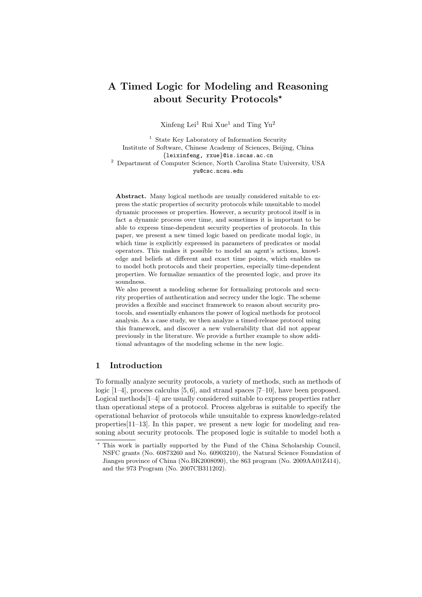# A Timed Logic for Modeling and Reasoning about Security Protocols★

Xinfeng Lei<sup>1</sup> Rui Xue<sup>1</sup> and Ting Yu<sup>2</sup>

<sup>1</sup> State Key Laboratory of Information Security Institute of Software, Chinese Academy of Sciences, Beijing, China {leixinfeng, rxue}@is.iscas.ac.cn <sup>2</sup> Department of Computer Science, North Carolina State University, USA yu@csc.ncsu.edu

Abstract. Many logical methods are usually considered suitable to express the static properties of security protocols while unsuitable to model dynamic processes or properties. However, a security protocol itself is in fact a dynamic process over time, and sometimes it is important to be able to express time-dependent security properties of protocols. In this paper, we present a new timed logic based on predicate modal logic, in which time is explicitly expressed in parameters of predicates or modal operators. This makes it possible to model an agent's actions, knowledge and beliefs at different and exact time points, which enables us to model both protocols and their properties, especially time-dependent properties. We formalize semantics of the presented logic, and prove its soundness.

We also present a modeling scheme for formalizing protocols and security properties of authentication and secrecy under the logic. The scheme provides a flexible and succinct framework to reason about security protocols, and essentially enhances the power of logical methods for protocol analysis. As a case study, we then analyze a timed-release protocol using this framework, and discover a new vulnerability that did not appear previously in the literature. We provide a further example to show additional advantages of the modeling scheme in the new logic.

# 1 Introduction

To formally analyze security protocols, a variety of methods, such as methods of logic [1–4], process calculus [5, 6], and strand spaces [7–10], have been proposed. Logical methods[1–4] are usually considered suitable to express properties rather than operational steps of a protocol. Process algebras is suitable to specify the operational behavior of protocols while unsuitable to express knowledge-related properties[11–13]. In this paper, we present a new logic for modeling and reasoning about security protocols. The proposed logic is suitable to model both a

This work is partially supported by the Fund of the China Scholarship Council, NSFC grants (No. 60873260 and No. 60903210), the Natural Science Foundation of Jiangsu province of China (No.BK2008090), the 863 program (No. 2009AA01Z414), and the 973 Program (No. 2007CB311202).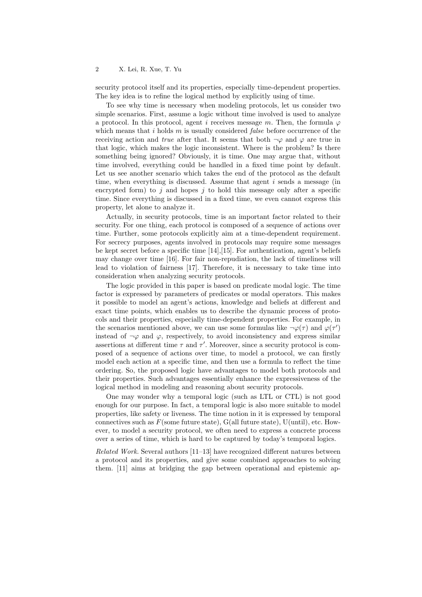security protocol itself and its properties, especially time-dependent properties. The key idea is to refine the logical method by explicitly using of time.

To see why time is necessary when modeling protocols, let us consider two simple scenarios. First, assume a logic without time involved is used to analyze a protocol. In this protocol, agent i receives message m. Then, the formula  $\varphi$ which means that  $i$  holds  $m$  is usually considered *false* before occurrence of the receiving action and true after that. It seems that both  $\neg \varphi$  and  $\varphi$  are true in that logic, which makes the logic inconsistent. Where is the problem? Is there something being ignored? Obviously, it is time. One may argue that, without time involved, everything could be handled in a fixed time point by default. Let us see another scenario which takes the end of the protocol as the default time, when everything is discussed. Assume that agent  $i$  sends a message (in encrypted form) to  $j$  and hopes  $j$  to hold this message only after a specific time. Since everything is discussed in a fixed time, we even cannot express this property, let alone to analyze it.

Actually, in security protocols, time is an important factor related to their security. For one thing, each protocol is composed of a sequence of actions over time. Further, some protocols explicitly aim at a time-dependent requirement. For secrecy purposes, agents involved in protocols may require some messages be kept secret before a specific time [14],[15]. For authentication, agent's beliefs may change over time [16]. For fair non-repudiation, the lack of timeliness will lead to violation of fairness [17]. Therefore, it is necessary to take time into consideration when analyzing security protocols.

The logic provided in this paper is based on predicate modal logic. The time factor is expressed by parameters of predicates or modal operators. This makes it possible to model an agent's actions, knowledge and beliefs at different and exact time points, which enables us to describe the dynamic process of protocols and their properties, especially time-dependent properties. For example, in the scenarios mentioned above, we can use some formulas like  $\neg \varphi(\tau)$  and  $\varphi(\tau')$ instead of  $\neg \varphi$  and  $\varphi$ , respectively, to avoid inconsistency and express similar assertions at different time  $\tau$  and  $\tau'$ . Moreover, since a security protocol is composed of a sequence of actions over time, to model a protocol, we can firstly model each action at a specific time, and then use a formula to reflect the time ordering. So, the proposed logic have advantages to model both protocols and their properties. Such advantages essentially enhance the expressiveness of the logical method in modeling and reasoning about security protocols.

One may wonder why a temporal logic (such as LTL or CTL) is not good enough for our purpose. In fact, a temporal logic is also more suitable to model properties, like safety or liveness. The time notion in it is expressed by temporal connectives such as  $F$ (some future state),  $G$ (all future state),  $U$ (until), etc. However, to model a security protocol, we often need to express a concrete process over a series of time, which is hard to be captured by today's temporal logics.

Related Work. Several authors [11–13] have recognized different natures between a protocol and its properties, and give some combined approaches to solving them. [11] aims at bridging the gap between operational and epistemic ap-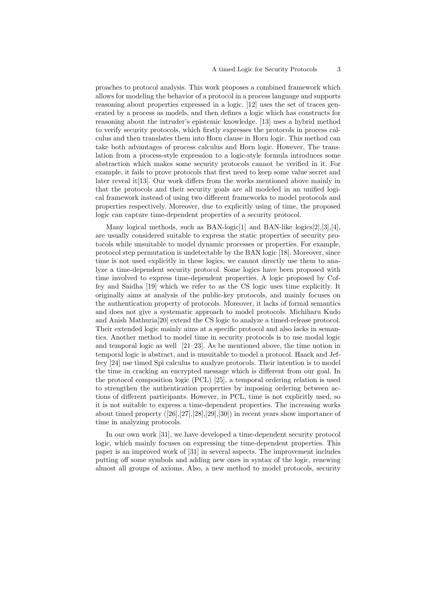proaches to protocol analysis. This work proposes a combined framework which allows for modeling the behavior of a protocol in a process language and supports reasoning about properties expressed in a logic. [12] uses the set of traces generated by a process as models, and then defines a logic which has constructs for reasoning about the intruder's epistemic knowledge. [13] uses a hybrid method to verify security protocols, which firstly expresses the protocols in process calculus and then translates them into Horn clause in Horn logic. This method can take both advantages of process calculus and Horn logic. However, The translation from a process-style expression to a logic-style formula introduces some abstraction which makes some security protocols cannot be verified in it. For example, it fails to prove protocols that first need to keep some value secret and later reveal it[13]. Our work differs from the works mentioned above mainly in that the protocols and their security goals are all modeled in an unified logical framework instead of using two different frameworks to model protocols and properties respectively. Moreover, due to explicitly using of time, the proposed logic can capture time-dependent properties of a security protocol.

Many logical methods, such as BAN-logic<sup>[1]</sup> and BAN-like logics<sup>[2]</sup>,<sup>[3]</sup>,<sup>[4]</sup>, are usually considered suitable to express the static properties of security protocols while unsuitable to model dynamic processes or properties. For example, protocol step permutation is undetectable by the BAN logic [18]. Moreover, since time is not used explicitly in these logics, we cannot directly use them to analyze a time-dependent security protocol. Some logics have been proposed with time involved to express time-dependent properties. A logic proposed by Coffey and Saidha [19] which we refer to as the CS logic uses time explicitly. It originally aims at analysis of the public-key protocols, and mainly focuses on the authentication property of protocols. Moreover, it lacks of formal semantics and does not give a systematic approach to model protocols. Michiharu Kudo and Anish Mathuria[20] extend the CS logic to analyze a timed-release protocol. Their extended logic mainly aims at a specific protocol and also lacks in semantics. Another method to model time in security protocols is to use modal logic and temporal logic as well [21–23]. As be mentioned above, the time notion in temporal logic is abstract, and is unsuitable to model a protocol. Haack and Jeffrey [24] use timed Spi calculus to analyze protocols. Their intention is to model the time in cracking an encrypted message which is different from our goal. In the protocol composition logic (PCL) [25], a temporal ordering relation is used to strengthen the authentication properties by imposing ordering between actions of different participants. However, in PCL, time is not explicitly used, so it is not suitable to express a time-dependent properties. The increasing works about timed property ([26],[27],[28],[29],[30]) in recent years show importance of time in analyzing protocols.

In our own work [31], we have developed a time-dependent security protocol logic, which mainly focuses on expressing the time-dependent properties. This paper is an improved work of [31] in several aspects. The improvement includes putting off some symbols and adding new ones in syntax of the logic, renewing almost all groups of axioms. Also, a new method to model protocols, security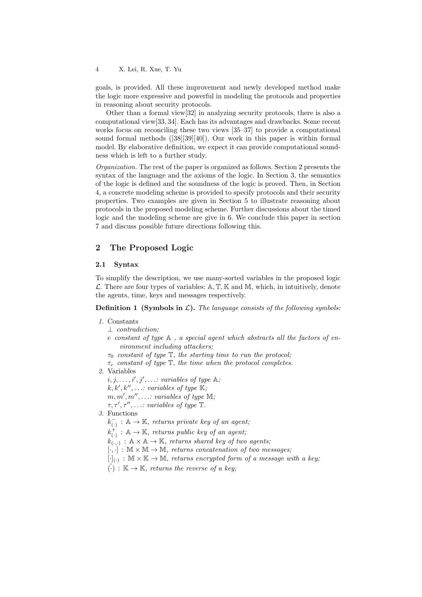goals, is provided. All these improvement and newly developed method make the logic more expressive and powerful in modeling the protocols and properties in reasoning about security protocols.

Other than a formal view[32] in analyzing security protocols, there is also a computational view[33, 34]. Each has its advantages and drawbacks. Some recent works focus on reconciling these two views [35–37] to provide a computational sound formal methods ([38][39][40]). Our work in this paper is within formal model. By elaborative definition, we expect it can provide computational soundness which is left to a further study.

Organization. The rest of the paper is organized as follows. Section 2 presents the syntax of the language and the axioms of the logic. In Section 3, the semantics of the logic is defined and the soundness of the logic is proved. Then, in Section 4, a concrete modeling scheme is provided to specify protocols and their security properties. Two examples are given in Section 5 to illustrate reasoning about protocols in the proposed modeling scheme. Further discussions about the timed logic and the modeling scheme are give in 6. We conclude this paper in section 7 and discuss possible future directions following this.

# 2 The Proposed Logic

#### 2.1 Syntax

To simplify the description, we use many-sorted variables in the proposed logic  $\mathcal{L}$ . There are four types of variables:  $\mathbb{A}, \mathbb{T}, \mathbb{K}$  and  $\mathbb{M}$ , which, in intuitively, denote the agents, time, keys and messages respectively.

**Definition 1 (Symbols in L).** The language consists of the following symbols:

- 1. Constants
	- ⊥ contradiction;
	- e constant of type  $\mathbb A$ , a special agent which abstracts all the factors of environment including attackers;
	- $\tau_0$  constant of type  $\mathbb T$ , the starting time to run the protocol;
	- $\tau_c$  constant of type  $\mathbb T$ , the time when the protocol completes.
- 2. Variables
	- $i, j, \ldots, i', j', \ldots$ : variables of type  $\mathbb{A};$
	- $k, k', k'', \ldots$ : variables of type  $K$ ;
	- $m, m', m'', \ldots$  variables of type  $\mathbb{M};$
	- $\tau, \tau', \tau'', \ldots$ : variables of type  $\mathbb T$ .
- 3. Functions
	- $k_{(.)}^- : \mathbb{A} \to \mathbb{K}$ , returns private key of an agent;
	- $k_{(0)}^{+} : \mathbb{A} \to \mathbb{K}$ , returns public key of an agent;
	- $k_{(\cdot,\cdot)}$ :  $\mathbb{A} \times \mathbb{A} \to \mathbb{K}$ , returns shared key of two agents;
	- $[\cdot, \cdot] : \mathbb{M} \times \mathbb{M} \to \mathbb{M}$ , returns concatenation of two messages;
	- $[\cdot]_{(\cdot)} : \mathbb{M} \times \mathbb{K} \to \mathbb{M}$ , returns encrypted form of a message with a key;
	- $\overline{(\cdot)} : \mathbb{K} \to \mathbb{K}$ , returns the reverse of a key;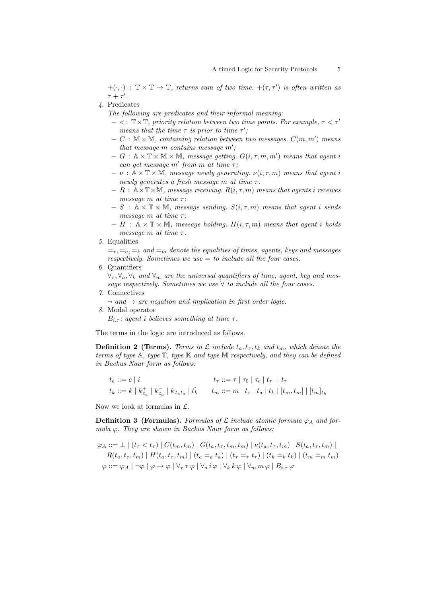$+(\cdot, \cdot) : \mathbb{T} \times \mathbb{T} \to \mathbb{T}$ , returns sum of two time.  $+(\tau, \tau')$  is often written as  $\tau + \tau'$ .

4. Predicates

The following are predicates and their informal meaning:

- $< : \mathbb{T} \times \mathbb{T}$ , priority relation between two time points. For example,  $\tau < \tau'$ means that the time  $\tau$  is prior to time  $\tau'$ ;
- $C : \mathbb{M} \times \mathbb{M}$ , containing relation between two messages.  $C(m, m')$  means that message  $m$  contains message  $m'$ ;
- $G : \mathbb{A} \times \mathbb{T} \times \mathbb{M} \times \mathbb{M}$ , message getting.  $G(i, \tau, m, m')$  means that agent i can get message  $m'$  from m at time  $\tau$ ;
- $-\nu : \mathbb{A} \times \mathbb{T} \times \mathbb{M}$ , message newly generating.  $\nu(i, \tau, m)$  means that agent i newly generates a fresh message m at time  $\tau$ .
- $R : \mathbb{A} \times \mathbb{T} \times \mathbb{M}$ , message receiving.  $R(i, \tau, m)$  means that agents *i* receives message m at time  $\tau$ :
- $S : \mathbb{A} \times \mathbb{T} \times \mathbb{M}$ , message sending.  $S(i, \tau, m)$  means that agent *i* sends message  $m$  at time  $\tau$ ;
- $H : \mathbb{A} \times \mathbb{T} \times \mathbb{M}$ , message holding.  $H(i, \tau, m)$  means that agent *i* holds message m at time  $\tau$ .
- 5. Equalities

 $=\tau, \tau, =_a, \tau_k$  and  $\tau_m$  denote the equalities of times, agents, keys and messages respectively. Sometimes we use  $=$  to include all the four cases.

6. Quantifiers

 $\forall_{\tau}, \forall_a, \forall_k$  and  $\forall_m$  are the universal quantifiers of time, agent, key and message respectively. Sometimes we use  $\forall$  to include all the four cases.

- 7. Connectives
- $\lnot$  and  $\rightarrow$  are negation and implication in first order logic.
- 8. Modal operator

 $B_{i,\tau}$ : agent i believes something at time  $\tau$ .

The terms in the logic are introduced as follows.

**Definition 2 (Terms).** Terms in  $\mathcal L$  include  $t_a, t_\tau, t_k$  and  $t_m$ , which denote the terms of type  $A$ , type  $T$ , type  $K$  and type  $M$  respectively, and they can be defined in Backus Naur form as follows:

| $t_a ::= e \mid i$ | $t_{\tau}$ ::= $\tau \mid \tau_0 \mid \tau_c \mid t_{\tau} + t_{\tau}$                                              |
|--------------------|---------------------------------------------------------------------------------------------------------------------|
|                    | $t_k ::= k   k_{t_a}^+   k_{t_a}^-   k_{t_a t_a}   t_k$ $t_m ::= m   t_\tau   t_a   t_k   [t_m, t_m]   [t_m]_{t_k}$ |

Now we look at formulas in  $\mathcal{L}$ .

**Definition 3 (Formulas).** Formulas of  $\mathcal L$  include atomic formula  $\varphi_A$  and formula  $\varphi$ . They are shown in Backus Naur form as follows:

$$
\varphi_A ::= \bot \mid (t_\tau < t_\tau) \mid C(t_m, t_m) \mid G(t_a, t_\tau, t_m, t_m) \mid \nu(t_a, t_\tau, t_m) \mid S(t_a, t_\tau, t_m) \mid
$$
\n
$$
R(t_a, t_\tau, t_m) \mid H(t_a, t_\tau, t_m) \mid (t_a = a \cdot t_a) \mid (t_\tau = \tau \cdot t_\tau) \mid (t_k = k \cdot t_k) \mid (t_m = \tau \cdot t_m)
$$
\n
$$
\varphi ::= \varphi_A \mid \neg \varphi \mid \varphi \rightarrow \varphi \mid \forall_\tau \tau \varphi \mid \forall_a i \varphi \mid \forall_k k \varphi \mid \forall_m m \varphi \mid B_{i,\tau} \varphi
$$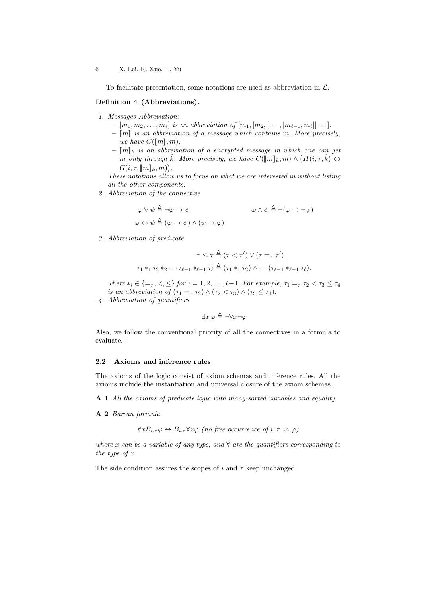To facilitate presentation, some notations are used as abbreviation in  $\mathcal{L}$ .

#### Definition 4 (Abbreviations).

- 1. Messages Abbreviation:
	- $-[m_1, m_2, \ldots, m_\ell]$  is an abbreviation of  $[m_1, [m_2, [\cdots, [m_{\ell-1}, m_\ell]] \cdots].$
	- $\llbracket m \rrbracket$  is an abbreviation of a message which contains m. More precisely, we have  $C(\llbracket m \rrbracket, m)$ .
	- $-\llbracket m \rrbracket_k$  is an abbreviation of a encrypted message in which one can get m only through  $\tilde{k}$ . More precisely, we have  $C(\llbracket m \rrbracket_k, m) \wedge (H(i, \tau, \tilde{k}) \leftrightarrow$ <br> $C(i, \tau, \llbracket m \rrbracket_k, m)$  $G(i, \tau, [\![m]\!]_k, m)).$

These notations allow us to focus on what we are interested in without listing all the other components.

2. Abbreviation of the connective

$$
\varphi \lor \psi \stackrel{\Delta}{=} \neg \varphi \to \psi
$$
  

$$
\varphi \land \psi \stackrel{\Delta}{=} \neg (\varphi \to \neg \psi)
$$
  

$$
\varphi \land \psi \stackrel{\Delta}{=} \neg (\varphi \to \neg \psi)
$$

3. Abbreviation of predicate

$$
\tau \leq \tau \stackrel{\Delta}{=} (\tau < \tau') \lor (\tau =_{\tau} \tau')
$$
\n
$$
\tau_1 *_{1} \tau_2 *_{2} \cdots \tau_{\ell-1} *_{\ell-1} \tau_{\ell} \stackrel{\Delta}{=} (\tau_1 *_{1} \tau_2) \land \cdots (\tau_{\ell-1} *_{\ell-1} \tau_{\ell}).
$$

where  $*_i \in \{=_\tau, < , \leq\}$  for  $i = 1, 2, \ldots, \ell-1$ . For example,  $\tau_1 =_\tau \tau_2 < \tau_3 \leq \tau_4$ is an abbreviation of  $(\tau_1 =_{\tau} \tau_2) \wedge (\tau_2 < \tau_3) \wedge (\tau_3 \leq \tau_4)$ .

4. Abbreviation of quantifiers

$$
\exists x \, \varphi \stackrel{\Delta}{=} \neg \forall x \neg \varphi
$$

Also, we follow the conventional priority of all the connectives in a formula to evaluate.

#### 2.2 Axioms and inference rules

The axioms of the logic consist of axiom schemas and inference rules. All the axioms include the instantiation and universal closure of the axiom schemas.

A 1 All the axioms of predicate logic with many-sorted variables and equality.

A 2 Barcan formula

 $\forall x B_{i,\tau} \varphi \leftrightarrow B_{i,\tau} \forall x \varphi$  (no free occurrence of  $i, \tau$  in  $\varphi$ )

where x can be a variable of any type, and  $\forall$  are the quantifiers corresponding to the type of  $x$ .

The side condition assures the scopes of  $i$  and  $\tau$  keep unchanged.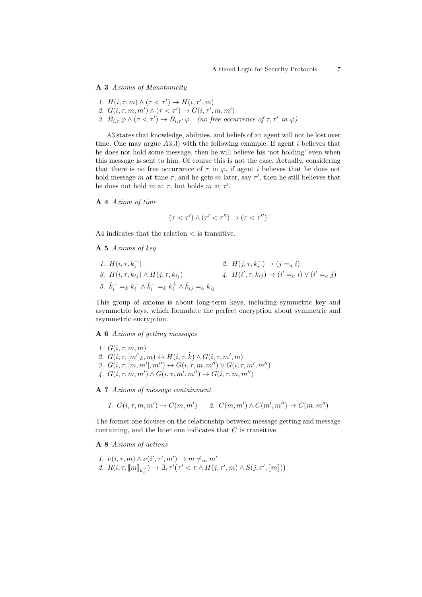A 3 Axioms of Monotonicity

- 1.  $H(i, \tau, m) \wedge (\tau \langle \tau' \rangle) \rightarrow H(i, \tau', m)$
- 2.  $G(i, \tau, m, m') \wedge (\tau \langle \tau' \rangle) \rightarrow G(i, \tau', m, m')$
- 3.  $B_{i,\tau} \varphi \wedge (\tau \langle \tau \rangle) \rightarrow B_{i,\tau'} \varphi$  (no free occurrence of  $\tau, \tau'$  in  $\varphi$ )

A3 states that knowledge, abilities, and beliefs of an agent will not be lost over time. One may argue  $(A3,3)$  with the following example. If agent *i* believes that he does not hold some message, then he will believe his 'not holding' even when this message is sent to him. Of course this is not the case. Actually, considering that there is no free occurrence of  $\tau$  in  $\varphi$ , if agent *i* believes that he does not hold message  $m$  at time  $\tau$ , and he gets  $m$  later, say  $\tau'$ , then he still believes that he does not hold  $m$  at  $\tau$ , but holds  $m$  at  $\tau'$ .

A 4 Axiom of time

$$
(\tau < \tau') \land (\tau' < \tau'') \rightarrow (\tau < \tau'')
$$

A4 indicates that the relation < is transitive.

A 5 Axioms of key

1.  $H(i, \tau, k_i^-)$ i ) 2.  $H(j, \tau, k_i^-) \to (j = a i)$ 3.  $H(i, \tau, k_{ij}) \wedge H(j, \tau, k_{ij})$  4.  $H(i)$  $(i', \tau, k_{ij}) \rightarrow (i' =_a i) \vee (i' =_a j)$ 5.  $\tilde{k}_i^+ =_k k_i^- \wedge \tilde{k}_i^- =_k k_i^+ \wedge \tilde{k}_{ij} =_a k_{ij}$ 

This group of axioms is about long-term keys, including symmetric key and asymmetric keys, which formulate the perfect encryption about symmetric and asymmetric encryption.

A 6 Axioms of getting messages

1.  $G(i, \tau, m, m)$ 2.  $G(i, \tau, [m']_k, m) \leftrightarrow H(i, \tau, \tilde{k}) \wedge G(i, \tau, m', m)$ 3.  $G(i, \tau, [m, m'], m'') \leftrightarrow G(i, \tau, m, m'') \vee G(i, \tau, m', m'')$ 4.  $G(i, \tau, m, m') \wedge G(i, \tau, m', m'') \rightarrow G(i, \tau, m, m'')$ 

A 7 Axioms of message containment

1.  $G(i, \tau, m, m') \rightarrow C(m, m')$  2.  $C(m, m') \wedge C(m', m'') \rightarrow C(m, m'')$ 

The former one focuses on the relationship between message getting and message containing, and the later one indicates that  $C$  is transitive.

A 8 Axioms of actions

1.  $\nu(i, \tau, m) \wedge \nu(i', \tau', m') \rightarrow m \neq_m m'$ 2.  $R(i, \tau, [\![m]\!]_{k_j^-}) \to \exists_{\tau} \tau'(\tau' < \tau \wedge H(j, \tau', m) \wedge S(j, \tau', [\![m]\!])$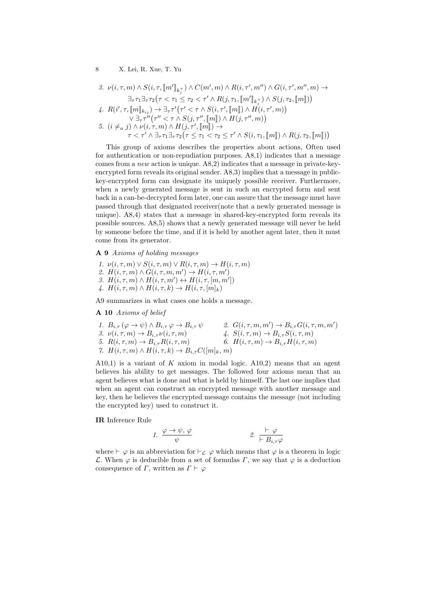3. 
$$
\nu(i,\tau,m) \wedge S(i,\tau, [\![m']\!]_{k_j^+}) \wedge C(m',m) \wedge R(i,\tau',m'') \wedge G(i,\tau',m'',m) \rightarrow
$$

$$
\exists_{\tau} \tau_1 \exists_{\tau} \tau_2 (\tau \langle \tau_1 \leq \tau_2 \langle \tau' \wedge R(j,\tau_1, [\![m']\!]_{k_j^+}) \wedge S(j,\tau_2, [\![m]\!]) )
$$
4. 
$$
R(i',\tau, [\![m]\!]_{k_{ij}}) \rightarrow \exists_{\tau} \tau'(\tau' \langle \tau \wedge S(i,\tau', [\![m]\!]) \wedge H(i,\tau',m))
$$

$$
\forall \exists_{\tau} \tau''(\tau'' \langle \tau \wedge S(j,\tau'', [\![m]\!]) \wedge H(j,\tau'',m))
$$
5. 
$$
(i \neq_a j) \wedge \nu(i,\tau,m) \wedge H(j,\tau', [\![m]\!]) \rightarrow
$$

$$
\tau \langle \tau' \wedge \exists_{\tau} \tau_1 \exists_{\tau} \tau_2 (\tau \leq \tau_1 \langle \tau_2 \leq \tau' \wedge S(i,\tau_1, [\![m]\!]) \wedge R(j,\tau_2, [\![m]\!]) )
$$

This group of axioms describes the properties about actions, Often used for authentication or non-repudiation purposes. A8,1) indicates that a message comes from a new action is unique. A8,2) indicates that a message in private-keyencrypted form reveals its original sender. A8,3) implies that a message in publickey-encrypted form can designate its uniquely possible receiver. Furthermore, when a newly generated message is sent in such an encrypted form and sent back in a can-be-decrypted form later, one can assure that the message must have passed through that designated receiver(note that a newly generated message is unique). A8,4) states that a message in shared-key-encrypted form reveals its possible sources. A8,5) shows that a newly generated message will never be held by someone before the time, and if it is held by another agent later, then it must come from its generator.

A 9 Axioms of holding messages

- 1.  $\nu(i, \tau, m) \vee S(i, \tau, m) \vee R(i, \tau, m) \rightarrow H(i, \tau, m)$ 2.  $H(i, \tau, m) \wedge G(i, \tau, m, m') \rightarrow H(i, \tau, m')$
- 3.  $H(i, \tau, m) \wedge H(i, \tau, m') \leftrightarrow H(i, \tau, [m, m'])$
- 4.  $H(i, \tau, m) \wedge H(i, \tau, k) \rightarrow H(i, \tau, [m]_k)$

A9 summarizes in what cases one holds a message.

A 10 Axioms of belief

1.  $B_{i,\tau} (\varphi \to \psi) \wedge B_{i,\tau} \varphi \to B_{i,\tau} \psi$ <br>
3.  $\nu(i, \tau, m) \to B_{i,\tau} \nu(i, \tau, m)$  $) \rightarrow B_{i,\tau}G(i,\tau,m,m')$ 3.  $\nu(i, \tau, m) \rightarrow B_{i,\tau} \nu(i, \tau, m)$ <br>
4.  $S(i, \tau, m) \rightarrow B_{i,\tau} S(i, \tau, m)$ 5.  $R(i, \tau, m) \rightarrow B_{i,\tau} R(i, \tau, m)$  6.  $H(i, \tau, m) \rightarrow B_{i,\tau} H(i, \tau, m)$ 7.  $H(i, \tau, m) \wedge H(i, \tau, k) \rightarrow B_{i, \tau} C([m]_k, m)$ 

A10,1) is a variant of  $K$  axiom in modal logic. A10,2) means that an agent believes his ability to get messages. The followed four axioms mean that an agent believes what is done and what is held by himself. The last one implies that when an agent can construct an encrypted message with another message and key, then he believes the encrypted message contains the message (not including the encrypted key) used to construct it.

IR Inference Rule

1. 
$$
\frac{\varphi \to \psi, \varphi}{\psi}
$$
 2.  $\frac{\vdash \varphi}{\vdash B_{i,\tau}\varphi}$ 

where  $\vdash \varphi$  is an abbreviation for  $\vdash_{\mathcal{L}} \varphi$  which means that  $\varphi$  is a theorem in logic L. When  $\varphi$  is deducible from a set of formulas  $\Gamma$ , we say that  $\varphi$  is a deduction consequence of  $\Gamma$ , written as  $\Gamma \vdash \varphi$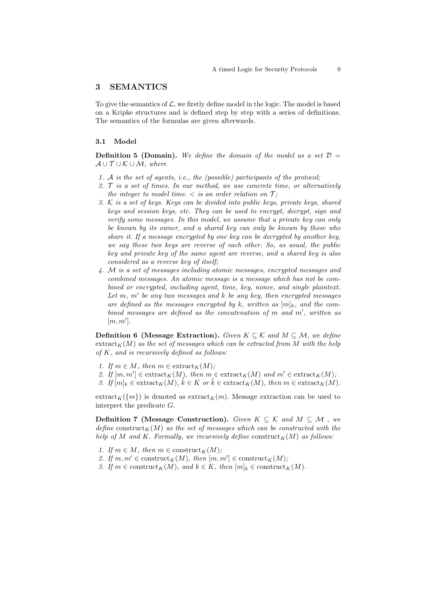### 3 SEMANTICS

To give the semantics of  $\mathcal{L}$ , we firstly define model in the logic. The model is based on a Kripke structures and is defined step by step with a series of definitions. The semantics of the formulas are given afterwards.

#### 3.1 Model

**Definition 5 (Domain).** We define the domain of the model as a set  $\mathcal{D} =$  $A \cup T \cup K \cup M$ , where

- 1. A is the set of agents, i.e., the (possible) participants of the protocol;
- 2.  $\mathcal T$  is a set of times. In our method, we use concrete time, or alternatively the integer to model time.  $\langle$  is an order relation on  $\mathcal{T}$ ;
- 3. K is a set of keys. Keys can be divided into public keys, private keys, shared keys and session keys, etc. They can be used to encrypt, decrypt, sign and verify some messages. In this model, we assume that a private key can only be known by its owner, and a shared key can only be known by those who share it. If a message encrypted by one key can be decrypted by another key, we say these two keys are reverse of each other. So, as usual, the public key and private key of the same agent are reverse, and a shared key is also considered as a reverse key of itself;
- 4. ℳ is a set of messages including atomic messages, encrypted messages and combined messages. An atomic message is a message which has not be combined or encrypted, including agent, time, key, nonce, and single plaintext. Let  $m$ ,  $m'$  be any two messages and  $k$  be any key, then encrypted messages are defined as the messages encrypted by k, written as  $[m]_k$ , and the combined messages are defined as the concatenation of  $m$  and  $m'$ , written as  $[m, m']$ .

**Definition 6** (Message Extraction). Given  $K \subseteq \mathcal{K}$  and  $M \subseteq \mathcal{M}$ , we define  $\text{extract}_{K}(M)$  as the set of messages which can be extracted from M with the help of  $K$ , and is recursively defined as follows:

- 1. If  $m \in M$ , then  $m \in \text{extract}_K(M)$ ;
- 2. If  $[m, m'] \in \text{extract}_K(M)$ , then  $m \in \text{extract}_K(M)$  and  $m' \in \text{extract}_K(M)$ ,
- 3. If  $[m]_k \in \text{extract}_K(M)$ ,  $\tilde{k} \in K$  or  $\tilde{k} \in \text{extract}_K(M)$ , then  $m \in \text{extract}_K(M)$ .

 $\text{extract}_K(\{m\})$  is denoted as  $\text{extract}_K(m)$ . Message extraction can be used to interpret the predicate  $G$ .

**Definition 7** (Message Construction). Given  $K \subseteq \mathcal{K}$  and  $M \subseteq \mathcal{M}$ , we define construct<sub>K</sub>(M) as the set of messages which can be constructed with the help of M and K. Formally, we recursively define construct<sub>K</sub>(M) as follows:

- 1. If  $m \in M$ , then  $m \in \text{construct}_K(M)$ ;
- 2. If  $m, m' \in \text{construct}_K(M)$ , then  $[m, m'] \in \text{construct}_K(M)$ ;
- 3. If  $m \in \text{construct}_K(M)$ , and  $k \in K$ , then  $[m]_k \in \text{construct}_K(M)$ .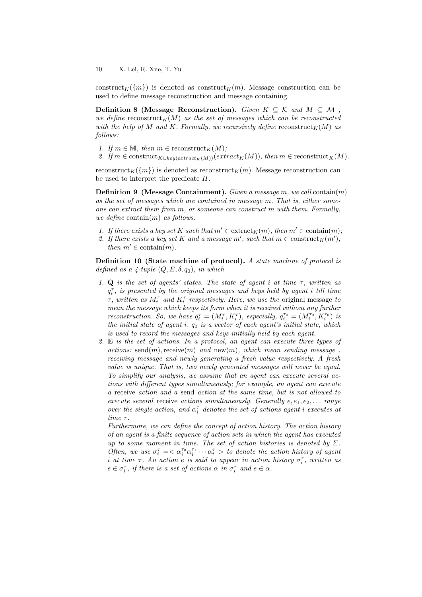construct<sub>K</sub> $({m})$  is denoted as construct<sub>K</sub> $(m)$ . Message construction can be used to define message reconstruction and message containing.

Definition 8 (Message Reconstruction). Given  $K \subseteq \mathcal{K}$  and  $M \subseteq \mathcal{M}$ , we define reconstruct<sub>K</sub> $(M)$  as the set of messages which can be reconstructed with the help of M and K. Formally, we recursively define reconstruct<sub>K</sub>(M) as follows:

- 1. If  $m \in \mathbb{M}$ , then  $m \in \text{reconstruct}_K(M)$ ;
- 2. If  $m \in \text{construct}_{K \cup key(extract_K(M))}(extract_K(M)),$  then  $m \in \text{reconstruct}_{K}(M)$ .

reconstruct<sub>K</sub>( $\{m\}$ ) is denoted as reconstruct<sub>K</sub> $(m)$ . Message reconstruction can be used to interpret the predicate  $H$ .

**Definition 9** (Message Containment). Given a message m, we call contain $(m)$ as the set of messages which are contained in message  $m$ . That is, either someone can extract them from  $m$ , or someone can construct  $m$  with them. Formally, we define contain $(m)$  as follows:

- 1. If there exists a key set K such that  $m' \in \text{extract}_K(m)$ , then  $m' \in \text{contain}(m)$ ;
- 2. If there exists a key set K and a message  $m'$ , such that  $m \in \text{construct}_K(m')$ , then  $m' \in \text{contain}(m)$ .

Definition 10 (State machine of protocol). A state machine of protocol is defined as a 4-tuple  $(Q, E, \delta, q_0)$ , in which

- 1. Q is the set of agents' states. The state of agent  $i$  at time  $\tau$ , written as  $q_i^{\tau}$ , is presented by the original messages and keys held by agent i till time  $\tau$ , written as  $M_i^{\tau}$  and  $K_i^{\tau}$  respectively. Here, we use the original message to mean the message which keeps its form when it is received without any further reconstruction. So, we have  $q_i^{\tau} = (M_i^{\tau}, K_i^{\tau})$ , especially,  $q_i^{\tau_0} = (M_i^{\tau_0}, K_i^{\tau_0})$  is the initial state of agent i.  $q_0$  is a vector of each agent's initial state, which is used to record the messages and keys initially held by each agent.
- 2. E is the set of actions. In a protocol, an agent can execute three types of actions: send $(m)$ , receive $(m)$  and new $(m)$ , which mean sending message, receiving message and newly generating a fresh value respectively. A fresh value is unique. That is, two newly generated messages will never be equal. To simplify our analysis, we assume that an agent can execute several actions with different types simultaneously; for example, an agent can execute a receive action and a send action at the same time, but is not allowed to execute several receive actions simultaneously. Generally  $e, e_1, e_2, \ldots$  range over the single action, and  $\alpha_i^{\tau}$  denotes the set of actions agent i executes at time  $\tau$ .

Furthermore, we can define the concept of action history. The action history of an agent is a finite sequence of action sets in which the agent has executed up to some moment in time. The set of action histories is denoted by  $\Sigma$ . Often, we use  $\sigma_i^{\tau} = \langle \alpha_i^{\tau_0} \alpha_i^{\tau_1} \cdots \alpha_i^{\tau_n} \rangle$  to denote the action history of agent i at time  $\tau$ . An action e is said to appear in action history  $\sigma_i^{\tau}$ , written as  $e \in \sigma_i^{\tau}$ , if there is a set of actions  $\alpha$  in  $\sigma_i^{\tau}$  and  $e \in \alpha$ .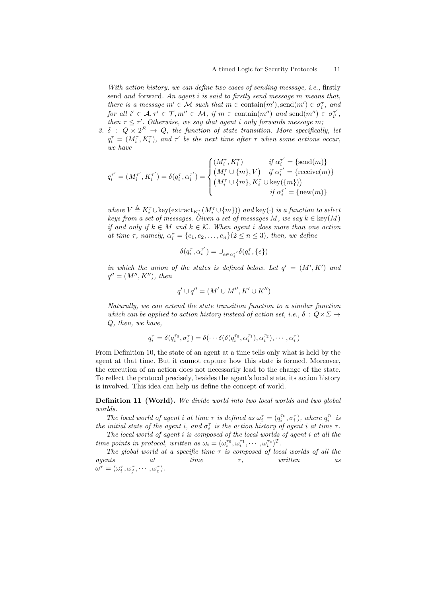With action history, we can define two cases of sending message, *i.e.*, firstly send and forward. An agent  $i$  is said to firstly send message  $m$  means that, there is a message  $m' \in \mathcal{M}$  such that  $m \in \text{contain}(m')$ ,  $\text{send}(m') \in \sigma_i^{\tau}$ , and for all  $i' \in \mathcal{A}, \tau' \in \mathcal{T}, m'' \in \mathcal{M}, \text{ if } m \in \text{contain}(m'') \text{ and } \text{send}(m'') \in \sigma_{i'}^{\tau'}$ then  $\tau \leq \tau'$ . Otherwise, we say that agent *i* only forwards message m;

3.  $\delta$  :  $Q \times 2^E \rightarrow Q$ , the function of state transition. More specifically, let  $q_i^{\tau} = (M_i^{\tau}, K_i^{\tau})$ , and  $\tau'$  be the next time after  $\tau$  when some actions occur, we have

$$
q_i^{\tau'} = (M_i^{\tau'}, K_i^{\tau'}) = \delta(q_i^{\tau}, \alpha_i^{\tau'}) = \begin{cases} (M_i^{\tau}, K_i^{\tau}) & \textit{if $\alpha_i^{\tau'} = \{\mathrm{send}(m)\}$}\\ (M_i^{\tau} \cup \{m\}, V) & \textit{if $\alpha_i^{\tau'} = \{\mathrm{receive}(m)\}$}\\ (M_i^{\tau} \cup \{m\}, K_i^{\tau} \cup \mathrm{key}(\{m\}))\\ \textit{if $\alpha_i^{\tau'} = \{\mathrm{new}(m)\}$} \end{cases}
$$

where  $V \triangleq K_i^{\tau} \cup \text{key}(\text{extract}_{K_i^{\tau}}(M_i^{\tau} \cup \{m\}))$  and key(·) is a function to select keys from a set of messages. Given a set of messages  $M$ , we say  $k \in \text{key}(M)$ if and only if  $k \in M$  and  $k \in \mathcal{K}$ . When agent *i* does more than one action at time  $\tau$ , namely,  $\alpha_i^{\tau} = \{e_1, e_2, \ldots, e_n\}$  ( $2 \leq n \leq 3$ ), then, we define

$$
\delta(q_i^{\tau}, \alpha_i^{\tau'}) = \bigcup_{e \in \alpha_i^{\tau'}} \delta(q_i^{\tau}, \{e\})
$$

in which the union of the states is defined below. Let  $q' = (M', K')$  and  $q'' = (M'', K''), \text{ then}$ 

$$
q' \cup q'' = (M' \cup M'', K' \cup K'')
$$

Naturally, we can extend the state transition function to a similar function which can be applied to action history instead of action set, i.e.,  $\overline{\delta}: Q \times \Sigma \rightarrow$  $Q$ , then, we have,

$$
q_i^{\tau} = \overline{\delta}(q_i^{\tau_0}, \sigma_i^{\tau}) = \delta(\cdots \delta(\delta(q_i^{\tau_0}, \alpha_i^{\tau_1}), \alpha_i^{\tau_2}), \cdots, \alpha_i^{\tau})
$$

From Definition 10, the state of an agent at a time tells only what is held by the agent at that time. But it cannot capture how this state is formed. Moreover, the execution of an action does not necessarily lead to the change of the state. To reflect the protocol precisely, besides the agent's local state, its action history is involved. This idea can help us define the concept of world.

Definition 11 (World). We divide world into two local worlds and two global worlds.

The local world of agent *i* at time  $\tau$  is defined as  $\omega_i^{\tau} = (q_i^{\tau_0}, \sigma_i^{\tau})$ , where  $q_i^{\tau_0}$  is the initial state of the agent i, and  $\sigma_i^{\tau}$  is the action history of agent i at time  $\tau$ .

The local world of agent  $i$  is composed of the local worlds of agent  $i$  at all the time points in protocol, written as  $\omega_i = (\omega_i^{\tau_0}, \omega_i^{\tau_1}, \cdots, \omega_i^{\tau_c})^T$ .

The global world at a specific time  $\tau$  is composed of local worlds of all the  $agents$  at time  $\tau,$  written as  $\omega^{\tau} = (\omega_i^{\tau}, \omega_j^{\tau}, \cdots, \omega_e^{\tau}).$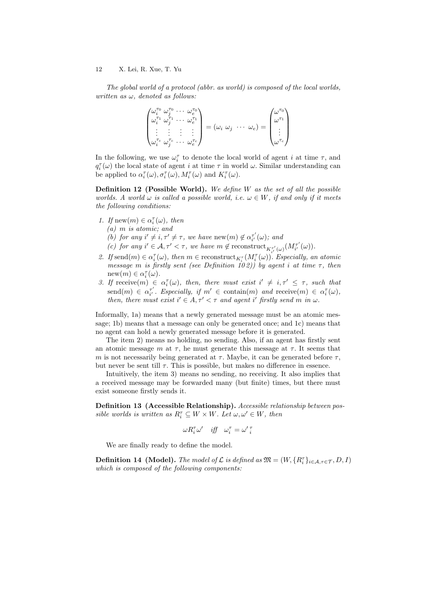The global world of a protocol (abbr. as world) is composed of the local worlds, written as  $\omega$ , denoted as follows:

$$
\begin{pmatrix}\n\omega_i^{\tau_0} & \omega_j^{\tau_0} & \cdots & \omega_e^{\tau_0} \\
\omega_i^{\tau_1} & \omega_j^{\tau_1} & \cdots & \omega_e^{\tau_1} \\
\vdots & \vdots & \vdots & \vdots \\
\omega_i^{\tau_c} & \omega_j^{\tau_c} & \cdots & \omega_e^{\tau_e}\n\end{pmatrix} = (\omega_i \ \omega_j \ \cdots \ \omega_e) = \begin{pmatrix}\n\omega^{\tau_0} \\
\omega^{\tau_1} \\
\vdots \\
\omega^{\tau_c} \\
\omega^{\tau_c}\n\end{pmatrix}
$$

In the following, we use  $\omega_i^{\tau}$  to denote the local world of agent *i* at time  $\tau$ , and  $q_i^{\tau}(\omega)$  the local state of agent *i* at time  $\tau$  in world  $\omega$ . Similar understanding can be applied to  $\alpha_i^{\tau}(\omega), \sigma_i^{\tau}(\omega), M_i^{\tau}(\omega)$  and  $K_i^{\tau}(\omega)$ .

**Definition 12 (Possible World).** We define  $W$  as the set of all the possible worlds. A world  $\omega$  is called a possible world, i.e.  $\omega \in W$ , if and only if it meets the following conditions:

- 1. If new $(m) \in \alpha_i^{\tau}(\omega)$ , then
	- $(a)$  m is atomic; and
	- (b) for any  $i' \neq i, \tau' \neq \tau$ , we have new $(m) \notin \alpha_{i'}^{\tau'}(\omega)$ ; and
	- (c) for any  $i' \in \mathcal{A}, \tau' < \tau$ , we have  $m \notin \text{reconstruct}_{K_{i'}^{\tau'}(\omega)}(M_{i'}^{\tau'}(\omega)).$
- 2. If send $(m) \in \alpha_i^{\tau}(\omega)$ , then  $m \in \text{reconstruct}_{K_i^{\tau}}(M_i^{\tau}(\omega))$ . Especially, an atomic message m is firstly sent (see Definition 102)) by agent *i* at time  $\tau$ , then  $new(m) \in \alpha_i^{\tau}(\omega)$ .
- 3. If receive $(m) \in \alpha_i^{\tau}(\omega)$ , then, there must exist  $i' \neq i, \tau' \leq \tau$ , such that  $\text{send}(m) \in \alpha_{i'}^{\tau'}$ . Especially, if  $m' \in \text{contain}(m)$  and  $\text{receive}(m) \in \alpha_i^{\tau}(\omega)$ , then, there must exist  $i' \in A$ ,  $\tau' < \tau$  and agent i' firstly send m in  $\omega$ .

Informally, 1a) means that a newly generated message must be an atomic message; 1b) means that a message can only be generated once; and 1c) means that no agent can hold a newly generated message before it is generated.

The item 2) means no holding, no sending. Also, if an agent has firstly sent an atomic message  $m$  at  $\tau$ , he must generate this message at  $\tau$ . It seems that m is not necessarily being generated at  $\tau$ . Maybe, it can be generated before  $\tau$ , but never be sent till  $\tau$ . This is possible, but makes no difference in essence.

Intuitively, the item 3) means no sending, no receiving. It also implies that a received message may be forwarded many (but finite) times, but there must exist someone firstly sends it.

Definition 13 (Accessible Relationship). Accessible relationship between possible worlds is written as  $R_i^{\tau} \subseteq W \times W$ . Let  $\omega, \omega' \in W$ , then

$$
\omega R_i^{\tau} \omega' \quad \text{iff} \quad \omega_i^{\tau} = \omega' \, \frac{\tau}{i}
$$

We are finally ready to define the model.

**Definition 14 (Model).** The model of  $\mathcal L$  is defined as  $\mathfrak{M} = (W, \{R_i^{\tau}\}_{i \in \mathcal A, \tau \in \mathcal T}, D, I)$ which is composed of the following components: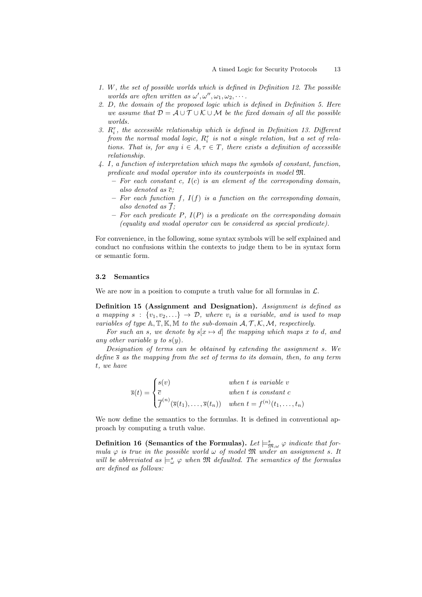- 1. W, the set of possible worlds which is defined in Definition 12. The possible worlds are often written as  $\omega', \omega'', \omega_1, \omega_2, \cdots$ .
- 2.  $D$ , the domain of the proposed logic which is defined in Definition 5. Here we assume that  $\mathcal{D} = \mathcal{A} \cup \mathcal{T} \cup \mathcal{K} \cup \mathcal{M}$  be the fixed domain of all the possible worlds.
- 3.  $R_i^{\tau}$ , the accessible relationship which is defined in Definition 13. Different from the normal modal logic,  $R_i^{\tau}$  is not a single relation, but a set of relations. That is, for any  $i \in A, \tau \in T$ , there exists a definition of accessible relationship.
- $\ddot{4}$ . I, a function of interpretation which maps the symbols of constant, function, predicate and modal operator into its counterpoints in model  $\mathfrak{M}$ .
	- $-$  For each constant c,  $I(c)$  is an element of the corresponding domain, also denoted as  $\overline{c}$ ;
	- $-$  For each function f,  $I(f)$  is a function on the corresponding domain, also denoted as  $\overline{f}$ ;
	- For each predicate  $P$ ,  $I(P)$  is a predicate on the corresponding domain (equality and modal operator can be considered as special predicate).

For convenience, in the following, some syntax symbols will be self explained and conduct no confusions within the contexts to judge them to be in syntax form or semantic form.

#### 3.2 Semantics

We are now in a position to compute a truth value for all formulas in  $\mathcal{L}$ .

Definition 15 (Assignment and Designation). Assignment is defined as a mapping  $s : \{v_1, v_2, \ldots\} \to \mathcal{D}$ , where  $v_i$  is a variable, and is used to map variables of type  $A, T, K, M$  to the sub-domain  $A, T, K, M$ , respectively.

For such an s, we denote by  $s[x \mapsto d]$  the mapping which maps x to d, and any other variable y to  $s(y)$ .

Designation of terms can be obtained by extending the assignment  $s$ . We define  $\bar{s}$  as the mapping from the set of terms to its domain, then, to any term t, we have

$$
\overline{s}(t) = \begin{cases}\ns(v) & when t \text{ is variable } v \\
\overline{c} & when t \text{ is constant } c \\
\overline{f}^{(n)}(\overline{s}(t_1), \dots, \overline{s}(t_n)) & when t = f^{(n)}(t_1, \dots, t_n)\n\end{cases}
$$

We now define the semantics to the formulas. It is defined in conventional approach by computing a truth value.

Definition 16 (Semantics of the Formulas). Let  $\models^s_{\mathfrak{M},\omega}\varphi$  indicate that formula  $\varphi$  is true in the possible world  $\omega$  of model  $\mathfrak{M}$  under an assignment s. It will be abbreviated as  $\models_{\omega}^s \varphi$  when  $\mathfrak M$  defaulted. The semantics of the formulas are defined as follows: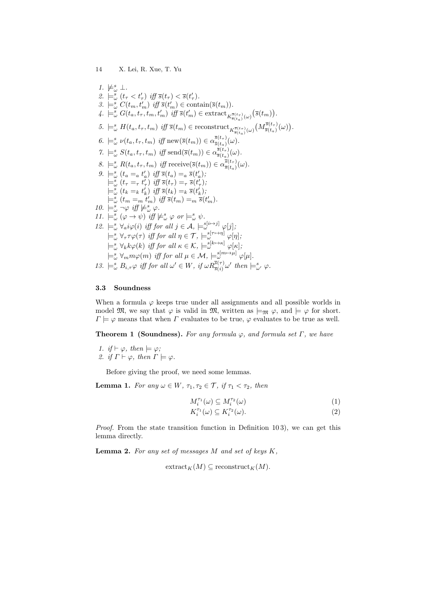1.  $\nvdash^s_\omega \bot$ . 2.  $\models_{\omega}^{s} (t_{\tau} < t_{\tau}')$  iff  $\overline{s}(t_{\tau}) < \overline{s}(t_{\tau}')$ . 3.  $\models_{\omega}^s C(t_m, t'_m)$  iff  $\overline{s}(t'_m) \in \text{contain}(\overline{s}(t_m)).$ 4.  $\models_{\omega}^{s} G(t_a, t_{\tau}, t_m, t'_m)$  iff  $\overline{s}(t'_m) \in \text{extract}_{K_{\overline{s}(t_a)}^{\overline{s}(t_{\tau})}(\omega)}(\overline{s}(t_m)).$  $5. \models_{\omega}^{s} H(t_a, t_{\tau}, t_m) \text{ iff } \overline{s}(t_m) \in \text{reconstruct}_{K_{\overline{s}(t_a)}^{\overline{s}(t_{\tau})}(\omega)} \left( M_{\overline{s}(t_a)}^{\overline{s}(t_{\tau})} \right)$  $\frac{e^{s(t_{\tau})}(\omega)}{\bar{s}(t_a)}$ 6.  $\models_{\omega}^s \nu(t_a, t_{\tau}, t_m)$  iff new $(\overline{s}(t_m)) \in \alpha \frac{\overline{s}(t_{\tau})}{\overline{s}(t_a)}$  $\frac{s(\iota_{\tau})}{\overline{s}(t_a)}(\omega).$ 7.  $\models_{\omega}^{s} S(t_a, t_{\tau}, t_m)$  iff send $(\overline{s}(t_m)) \in \alpha_{\overline{s}(t_{\tau})}^{\overline{s}(t_{\tau})}$  $\frac{s(\iota_{\tau})}{\overline{s}(t_a)}(\omega).$ 8.  $\models_{\omega}^s R(t_a, t_{\tau}, t_m)$  iff receive $(\bar{s}(t_m)) \in \alpha_{\bar{s}(t_a)}^{\bar{s}(t_{\tau})}$  $\frac{s(\iota_{\tau})}{\overline{s}(t_a)}(\omega).$ 9.  $\models_{\omega}^{s} (t_a = a t'_a) \text{ iff } \overline{s}(t_a) = a \overline{s}(t'_a);$  $\vdash \omega$  ( $a = a \cdot a$ ) iff  $\overline{s}(t_{\tau}) = \overline{s}(t'_{\tau})$ ;<br> $\models^s_{\omega} (t_{\tau} = \overline{\tau} t'_{\tau})$  iff  $\overline{s}(t_{\tau}) = \overline{s}(t'_{\tau})$ ;  $\models_{\omega}^{s} (t_k =_k t'_k) \text{ iff } \overline{s}(t_k) =_k \overline{s}(t'_k);$  $\models^s_\omega(t_m =_m t'_m) \text{ iff } \overline{s}(t_m) =_m \overline{s}(t'_m).$ 10.  $\models_{\omega}^s \neg \varphi \text{ iff } \nvDash_{\omega}^s \varphi$ . 11.  $\models_{\omega}^{s} (\varphi \to \psi) \text{ iff } \nvDash_{\omega}^{s} \varphi \text{ or } \nvDash_{\omega}^{s} \psi.$ 12.  $\models_{\omega}^{s} \forall_{a} i \varphi(i)$  iff for all  $j \in \mathcal{A}$ ,  $\models_{\omega}^{s[i \mapsto j]} \varphi[j]$ ;  $\models_{\omega}^{s} \forall_{\tau} \tau \varphi(\tau)$  iff for all  $\eta \in \mathcal{T}$ ,  $\models_{\omega}^{s[\tau \mapsto \eta]} \varphi[\eta]$ ;  $\models_{\omega}^{s} \forall_{k} k \varphi(k)$  iff for all  $\kappa \in \mathcal{K}$ ,  $\models_{\omega}^{s[k \mapsto \kappa]} \varphi[\kappa]$ ,  $\models_{\omega}^{s} \forall_m m \varphi(m)$  iff for all  $\mu \in \mathcal{M}$ ,  $\models_{\omega}^{s[m \mapsto \mu]} \varphi[\mu]$ . 13.  $\models_{\omega}^s B_{i,\tau}\varphi \text{ iff for all } \omega' \in W, \text{ if } \omega R_{\overline{s}(i)}^{\overline{s}(\tau)} \omega' \text{ then } \models_{\omega'}^s \varphi.$ 

#### 3.3 Soundness

When a formula  $\varphi$  keeps true under all assignments and all possible worlds in model  $\mathfrak{M}$ , we say that  $\varphi$  is valid in  $\mathfrak{M}$ , written as  $\models_{\mathfrak{M}} \varphi$ , and  $\models \varphi$  for short.  $\Gamma \models \varphi$  means that when  $\Gamma$  evaluates to be true,  $\varphi$  evaluates to be true as well.

**Theorem 1 (Soundness).** For any formula  $\varphi$ , and formula set  $\Gamma$ , we have

1. if  $\vdash \varphi$ , then  $\models \varphi$ ; 2. if  $\Gamma \vdash \varphi$ , then  $\Gamma \models \varphi$ .

Before giving the proof, we need some lemmas.

**Lemma 1.** For any  $\omega \in W$ ,  $\tau_1, \tau_2 \in \mathcal{T}$ , if  $\tau_1 < \tau_2$ , then

$$
M_i^{\tau_1}(\omega) \subseteq M_i^{\tau_2}(\omega) \tag{1}
$$

$$
K_i^{\tau_1}(\omega) \subseteq K_i^{\tau_2}(\omega). \tag{2}
$$

Proof. From the state transition function in Definition 10 3), we can get this lemma directly.

**Lemma 2.** For any set of messages  $M$  and set of keys  $K$ ,

 $\mathrm{extract}_K(M) \subseteq \mathrm{reconstruct}_K(M).$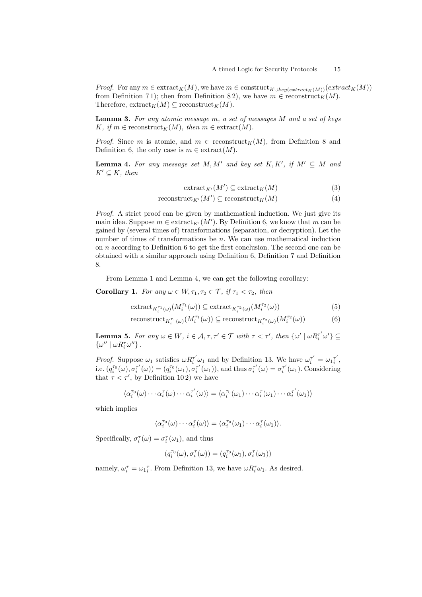*Proof.* For any  $m \in \text{extract}_K(M)$ , we have  $m \in \text{construct}_{K \cup key(extract_K(M))}(extract_K(M))$ from Definition 71); then from Definition 82), we have  $m \in \text{reconstruct}_K(M)$ . Therefore,  $\text{extract}_K(M) \subseteq \text{reconstruct}_K(M)$ .

**Lemma 3.** For any atomic message  $m$ , a set of messages  $M$  and a set of keys K, if  $m \in \text{reconstruct}_K(M)$ , then  $m \in \text{extract}(M)$ .

*Proof.* Since m is atomic, and  $m \in \text{reconstruct}_K(M)$ , from Definition 8 and Definition 6, the only case is  $m \in$  extract $(M)$ .

**Lemma 4.** For any message set M, M' and key set  $K, K'$ , if  $M' \subseteq M$  and  $K' \subseteq K$ , then

$$
\operatorname{extract}_{K'}(M') \subseteq \operatorname{extract}_K(M) \tag{3}
$$

 $reconstruct_{K'}(M') \subseteq reconstruct_{K}(M)$  (4)

Proof. A strict proof can be given by mathematical induction. We just give its main idea. Suppose  $m \in \text{extract}_{K'}(M')$ . By Definition 6, we know that  $m$  can be gained by (several times of) transformations (separation, or decryption). Let the number of times of transformations be  $n$ . We can use mathematical induction on  $n$  according to Definition 6 to get the first conclusion. The second one can be obtained with a similar approach using Definition 6, Definition 7 and Definition 8.

From Lemma 1 and Lemma 4, we can get the following corollary:

Corollary 1. For any  $\omega \in W, \tau_1, \tau_2 \in \mathcal{T}$ , if  $\tau_1 < \tau_2$ , then

$$
\operatorname{extract}_{K_i^{\tau_1}(\omega)}(M_i^{\tau_1}(\omega)) \subseteq \operatorname{extract}_{K_i^{\tau_2}(\omega)}(M_i^{\tau_2}(\omega))
$$
\n
$$
\tag{5}
$$

$$
\text{reconstruct}_{K_i^{\tau_1}(\omega)}(M_i^{\tau_1}(\omega)) \subseteq \text{reconstruct}_{K_i^{\tau_2}(\omega)}(M_i^{\tau_2}(\omega))\tag{6}
$$

Lemma 5. For any  $\omega \in W$ ,  $i \in \mathcal{A}, \tau, \tau' \in \mathcal{T}$  with  $\tau < \tau'$ , then  $\{\omega' \mid \omega R_i^{\tau'} \omega' \} \subseteq$  $\{\omega^{\prime\prime}\mid\omega R_i^\tau\omega^{\prime\prime}\}$ .

*Proof.* Suppose  $\omega_1$  satisfies  $\omega R_i^{\tau'} \omega_1$  and by Definition 13. We have  $\omega_i^{\tau'} = \omega_1 \overline{\tau}'$ , i.e.  $(q_i^{\tau_0}(\omega), \sigma_i^{\tau'}(\omega)) = (q_i^{\tau_0}(\omega_1), \sigma_i^{\tau'}(\omega_1))$ , and thus  $\sigma_i^{\tau'}(\omega) = \sigma_i^{\tau'}(\omega_1)$ . Considering that  $\tau < \tau'$ , by Definition 102) we have

$$
\langle \alpha_i^{\tau_0}(\omega) \cdots \alpha_i^{\tau}(\omega) \cdots \alpha_i^{\tau'}(\omega) \rangle = \langle \alpha_i^{\tau_0}(\omega_1) \cdots \alpha_i^{\tau}(\omega_1) \cdots \alpha_i^{\tau'}(\omega_1) \rangle
$$

which implies

$$
\langle \alpha_i^{\tau_0}(\omega) \cdots \alpha_i^{\tau}(\omega) \rangle = \langle \alpha_i^{\tau_0}(\omega_1) \cdots \alpha_i^{\tau}(\omega_1) \rangle.
$$

Specifically,  $\sigma_i^{\tau}(\omega) = \sigma_i^{\tau}(\omega_1)$ , and thus

$$
(q_i^{\tau_0}(\omega),\sigma_i^\tau(\omega))=(q_i^{\tau_0}(\omega_1),\sigma_i^\tau(\omega_1))
$$

namely,  $\omega_i^{\tau} = \omega_1^{\tau}$ . From Definition 13, we have  $\omega R_i^{\tau} \omega_1$ . As desired.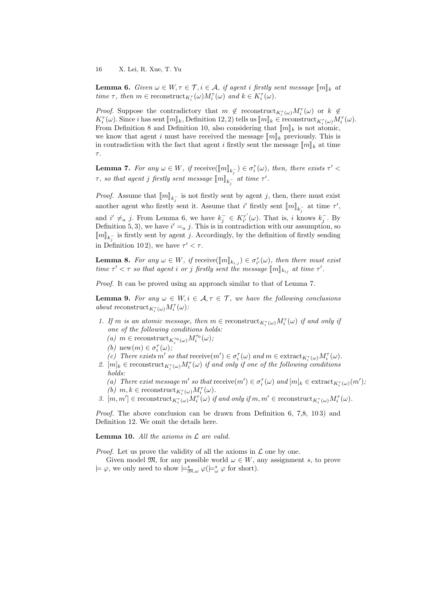**Lemma 6.** Given  $\omega \in W, \tau \in \mathcal{T}, i \in \mathcal{A}, \text{ if agent } i \text{ firstly sent message } [\![m]\!]_k$  at time  $\tau$ , then  $m \in \text{reconstruct}_{K_i^{\tau}}(\omega) M_i^{\tau}(\omega)$  and  $k \in K_i^{\tau}(\omega)$ .

*Proof.* Suppose the contradictory that  $m \notin \text{reconstruct}_{K_i^{\tau}(\omega)} M_i^{\tau}(\omega)$  or  $k \notin$  $K_i^{\tau}(\omega)$ . Since *i* has sent  $[\![m]\!]_k$ , Definition 12, 2) tells us  $[\![m]\!]_k \in \text{reconstruct}_{K_i^{\tau}(\omega)} M_i^{\tau}(\omega)$ .<br>From Definition 8 and Definition 10, also considering that  $[\![m]\!]_k$  is not atomic. From Definition 8 and Definition 10, also considering that  $\llbracket m \rrbracket_k$  is not atomic, we know that agent i must have received the message  $\|m\|_k$  previously. This is in contradiction with the fact that agent *i* firstly sent the message  $\llbracket m \rrbracket_k$  at time  $\tau$ .

**Lemma 7.** For any  $\omega \in W$ , if receive $(\llbracket m \rrbracket_{k_j^-}) \in \sigma_i^{\tau}(\omega)$ , then, there exists  $\tau' <$  $\tau,$  so that agent  $j$  firstly sent message  $[\![m]\!]_{k_j^-}$  at time  $\tau'.$ 

*Proof.* Assume that  $[\![m]\!]_{k_j^-}$  is not firstly sent by agent j, then, there must exist another agent who firstly sent it. Assume that i' firstly sent  $[\![m]\!]_{k_j^-}$  at time  $\tau'$ , and  $i' \neq a$  j. From Lemma 6, we have  $k_j^- \in K_{i'}^{\tau'}(\omega)$ . That is, i knows  $k_j^-$ . By Definition 5, 3), we have  $i' = a$  j. This is in contradiction with our assumption, so  $[\![m]\!]_{k_{\sigma}}$  is firstly sent by agent *j*. Accordingly, by the definition of firstly sending in Definition 102), we have  $\tau' < \tau$ .

**Lemma 8.** For any  $\omega \in W$ , if receive( $\llbracket m \rrbracket_{k,j}$ )  $\in \sigma_i^{\tau}(\omega)$ , then there must exist<br>time  $\sigma' < \tau$  so that exact i or i firstly sent the message  $\llbracket m \rrbracket$ , at time  $\sigma'$ time  $\tau' < \tau$  so that agent *i* or *j* firstly sent the message  $[\![m]\!]_{k_{ij}}$  at time  $\tau'$ .

Proof. It can be proved using an approach similar to that of Lemma 7.

**Lemma 9.** For any  $\omega \in W, i \in \mathcal{A}, \tau \in \mathcal{T}$ , we have the following conclusions about reconstruct<sub>K<sup> $\tau_i(\omega)M_i^{\tau}(\omega)$ :</sub></sub></sup>

- 1. If m is an atomic message, then  $m \in \text{reconstruct}_{K_i^{\tau}(\omega)} M_i^{\tau}(\omega)$  if and only if one of the following conditions holds:
	- $(d) \ m \in \text{reconstruct}_{K_i^{\tau_0}(\omega)} M_i^{\tau_0}(\omega);$
	- (*b*) new $(m) \in \sigma_i^{\tau}(\omega)$ ;
	- (c) There exists  $m'$  so that  $\mathrm{receive}(m') \in \sigma_i^{\tau}(\omega)$  and  $m \in \mathrm{extract}_{K_i^{\tau}(\omega)}M_i^{\tau}(\omega)$ .
- 2.  $[m]_k \in \text{reconstruct}_{K_i^{\tau}(\omega)} M_i^{\tau}(\omega)$  if and only if one of the following conditions holds:

(a) There exist message m' so that  $\mathrm{receive}(m') \in \sigma_i^{\tau}(\omega)$  and  $[m]_k \in \mathrm{extract}_{K_i^{\tau}(\omega)}(m')$ , (b)  $m, k \in \text{reconstruct}_{K_i^{\tau}(\omega)} M_i^{\tau}(\omega)$ .

3.  $[m, m'] \in \text{reconstruct}_{K_i^{\tau}(\omega)} M_i^{\tau}(\omega)$  if and only if  $m, m' \in \text{reconstruct}_{K_i^{\tau}(\omega)} M_i^{\tau}(\omega)$ .

Proof. The above conclusion can be drawn from Definition 6, 7,8, 103) and Definition 12. We omit the details here.

Lemma 10. All the axioms in  $\mathcal L$  are valid.

*Proof.* Let us prove the validity of all the axioms in  $\mathcal L$  one by one.

Given model  $\mathfrak{M}$ , for any possible world  $\omega \in W$ , any assignment s, to prove  $\models \varphi$ , we only need to show  $\models^s_{\mathfrak{M}, \omega} \varphi(\models^s_\omega \varphi \text{ for short}).$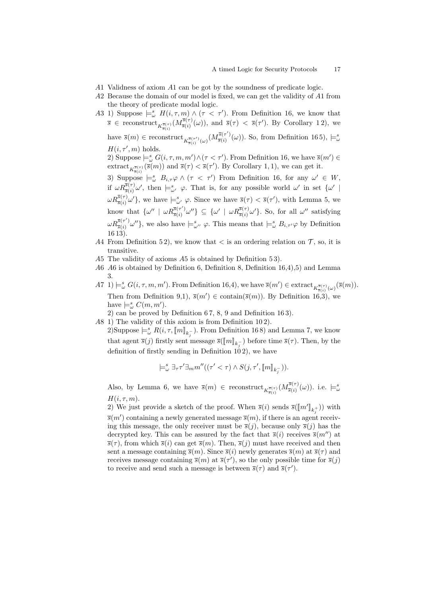- A 1 Validness of axiom A 1 can be got by the soundness of predicate logic.
- $A2$  Because the domain of our model is fixed, we can get the validity of  $A1$  from the theory of predicate modal logic.
- A3 1) Suppose  $\models^s_\omega H(i,\tau,m) \wedge (\tau < \tau')$ . From Definition 16, we know that  $\overline{s} \in \text{reconstruct}_{K_{\overline{s}(i)}^{\overline{s}(\tau)}}(M_{\overline{s}(i)}^{\overline{s}(\tau)}$  $\overline{s}(i^{\overline{s}}(\tau)(\omega))$ , and  $\overline{s}(\tau) < \overline{s}(\tau')$ . By Corollary 12), we have  $\overline{s}(m) \in \text{reconstruct}_{K_{\overline{s}(i)}^{\overline{s}(\tau')}(\omega)}(M_{\overline{s}(i)}^{\overline{s}(\tau')}$  $\frac{S^{(5)}(\tau')}{\overline{S}(i)}(\omega)$ . So, from Definition 165),  $\models^s_\omega$  $H(i, \tau', m)$  holds. 2) Suppose  $\models_{\omega}^{s} G(i, \tau, m, m') \wedge (\tau < \tau')$ . From Definition 16, we have  $\overline{s}(m') \in$ extract  $_{K_{\overline{s}(r)}(\overline{s}(m))}$  and  $\overline{s}(\tau) < \overline{s}(\tau')$ . By Corollary 1, 1), we can get it. 3) Suppose  $\models_{\omega}^s B_{i,\tau}\varphi \wedge (\tau < \tau')$  From Definition 16, for any  $\omega' \in W$ , if  $\omega R_{\overline{s}(i)}^{\overline{s}(\tau)}\omega'$ , then  $\models_{\omega'}^s \varphi$ . That is, for any possible world  $\omega'$  in set  $\{\omega'\mid$  $\omega R_{\overline{s}(i)}^{\overline{s}(\tau)}\omega'$ , we have  $\models_{\omega'}^s \varphi$ . Since we have  $\overline{s}(\tau) < \overline{s}(\tau')$ , with Lemma 5, we know that  $\{\omega'' \mid \omega R_{\overline{s}(i)}^{\overline{s}(\tau')}\}$  $\{\overline{s}^{(\tau')}_{\overline{s}(i)}\omega''\}\subseteq \{\omega'\mid \omega R_{\overline{s}(i)}^{\overline{s}(\tau)}\omega'\}.$  So, for all  $\omega''$  satisfying  $\omega R_{\overline{s}(i)}^{\overline{s}(\tau')}$  $(\bar{s}(\tau')\omega'')$ , we also have  $\models_{\omega''}^s \varphi$ . This means that  $\models_{\omega}^s B_{i,\tau'}\varphi$  by Definition 16 13).
- 44 From Definition 52), we know that  $\lt$  is an ordering relation on  $\mathcal{T}$ , so, it is transitive.
- $A5$  The validity of axioms  $A5$  is obtained by Definition 53).
- $A6$   $A6$  is obtained by Definition 6, Definition 8, Definition 16,4),5) and Lemma 3.
- $\mathcal{A}\mathcal{T}$  1)  $\models^s_\omega G(i,\tau,m,m')$ . From Definition 16,4), we have  $\overline{s}(m') \in \text{extract}_{K^{\overline{s}(\tau)}_{\overline{s}(i)}(\omega)}(\overline{s}(m))$ . Then from Definition 9,1),  $\bar{s}(m') \in \text{contain}(\bar{s}(m))$ . By Definition 16,3), we have  $\models_{\omega}^s C(m, m').$ 
	- 2) can be proved by Definition 6 7, 8, 9 and Definition 16 3).
- A8 1) The validity of this axiom is from Definition 102).
	- 2)Suppose  $\models_{\alpha}^s R(i, \tau, [\![m]\!]_{k_j^-})$ . From Definition 16 8) and Lemma 7, we know that agent  $\overline{s}(j)$  firstly sent message  $\overline{s}(\llbracket m \rrbracket_{k=0}^{\infty})$  before time  $\overline{s}(\tau)$ . Then, by the definition of firstly sending in Definition  $102$ , we have

$$
\models^s_\omega \exists_\tau \tau' \exists_m m''((\tau' < \tau) \land S(j, \tau', [\![m]\!]_{k_j^-})).
$$

Also, by Lemma 6, we have  $\bar{s}(m) \in \text{reconstruct}_{K_{\bar{s}(i)}^{\bar{s}(\tau)}}(M_{\bar{s}(i)}^{\bar{s}(\tau)})$  $\bar{s}^{(s(\tau)}_{\overline{s}(i)}(\omega)$ ). i.e.  $\models^s_{\omega}$  $H(i, \tau, m)$ .

2) We just provide a sketch of the proof. When  $\overline{s}(i)$  sends  $\overline{s}(\llbracket m' \rrbracket_{k_j^+})$  with  $\bar{s}(m')$  containing a newly generated message  $\bar{s}(m)$ , if there is an agent receiving this message, the only receiver must be  $\bar{s}(j)$ , because only  $\bar{s}(j)$  has the decrypted key. This can be assured by the fact that  $\bar{s}(i)$  receives  $\bar{s}(m'')$  at  $\bar{s}(\tau)$ , from which  $\bar{s}(i)$  can get  $\bar{s}(m)$ . Then,  $\bar{s}(i)$  must have received and then sent a message containing  $\bar{s}(m)$ . Since  $\bar{s}(i)$  newly generates  $\bar{s}(m)$  at  $\bar{s}(\tau)$  and receives message containing  $\bar{s}(m)$  at  $\bar{s}(\tau')$ , so the only possible time for  $\bar{s}(j)$ to receive and send such a message is between  $\bar{s}(\tau)$  and  $\bar{s}(\tau')$ .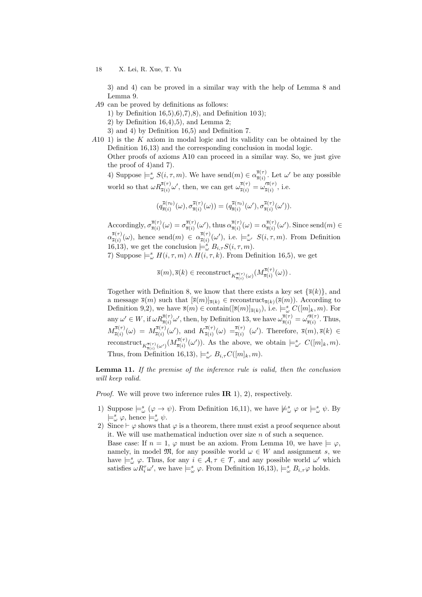3) and 4) can be proved in a similar way with the help of Lemma 8 and Lemma 9.

- A9 can be proved by definitions as follows:
	- 1) by Definition 16,5),6),7),8), and Definition 10 3);
	- 2) by Definition  $16,4$ , 5), and Lemma 2;
	- 3) and 4) by Definition 16,5) and Definition 7.
- $A10$  1) is the K axiom in modal logic and its validity can be obtained by the Definition 16,13) and the corresponding conclusion in modal logic. Other proofs of axioms A10 can proceed in a similar way. So, we just give the proof of 4)and 7).

4) Suppose  $\models_{\omega}^s S(i,\tau,m)$ . We have send $(m) \in \alpha_{\overline{s}(i)}^{\overline{s}(\tau)}$  $\frac{s(\tau)}{\overline{s}(i)}$ . Let  $\omega'$  be any possible world so that  $\omega R_{\overline{s}(i)}^{\overline{s}(\tau)}\omega'$ , then, we can get  $\omega_{\overline{s}(i)}^{\overline{s}(\tau)} = \omega_{\overline{s}(i)}^{\overline{s}(\tau)}$  $\frac{7s(\tau)}{\overline{s}(i)}$ , i.e.

$$
(q_{\overline{s}(i)}^{\overline{s}(\tau_0)}(\omega), \sigma_{\overline{s}(i)}^{\overline{s}(\tau)}(\omega)) = (q_{\overline{s}(i)}^{\overline{s}(\tau_0)}(\omega'), \sigma_{\overline{s}(i)}^{\overline{s}(\tau)}(\omega')).
$$

Accordingly,  $\sigma_{\overline{s}(i)}^{\overline{s}(\tau)}$  $\frac{\bar{s}(\tau)}{\bar{s}(i)}(\omega) = \sigma^{\bar{s}(\tau)}_{\bar{s}(i)}$  $\frac{\bar{s}(\tau)}{\bar{s}(i)}(\omega')$ , thus  $\alpha_{\bar{s}(i)}^{\bar{s}(\tau)}$  $\frac{\bar{s}(\tau)}{\bar{s}(i)}(\omega) = \alpha \frac{\bar{s}(\tau)}{\bar{s}(i)}$  $\frac{\overline{s}(\tau)}{\overline{s}(i)}(\omega')$ . Since send $(m) \in$  $\alpha_{\overline{s}(i)}^{\overline{s}(\tau)}$  $\frac{\overline{s}(\tau)}{\overline{s}(i)}(\omega)$ , hence send $(m) \in \alpha_{\overline{s}(i)}^{\overline{s}(\tau)}$  $\frac{\overline{s}(\tau)}{\overline{s}(i)}(\omega')$ , i.e.  $\models^s_{\omega'} S(i,\tau,m)$ . From Definition 16,13), we get the conclusion  $\models_{\omega}^{s} B_{i,\tau} S(i,\tau,m)$ . 7) Suppose  $\models^s_\omega H(i, \tau, m) \wedge H(i, \tau, k)$ . From Definition 16,5), we get

$$
\overline{s}(m), \overline{s}(k) \in \text{reconstruct}_{K_{\overline{s}(i)}^{\overline{s}(\tau)}(\omega)}(M_{\overline{s}(i)}^{\overline{s}(\tau)}(\omega))\,.
$$

Together with Definition 8, we know that there exists a key set  $\{\bar{s}(k)\}\$ , and a message  $\bar{s}(m)$  such that  $[\bar{s}(m)]_{\bar{s}(k)} \in \text{reconstruct}_{\bar{s}(k)}(\bar{s}(m))$ . According to Definition 9,2), we have  $\bar{s}(m) \in \text{contain}([\bar{s}(m)]_{\bar{s}(k)})$ , i.e.  $\models_{\omega}^{s} C([m]_k, m)$ . For any  $\omega' \in W$ , if  $\omega R_{\overline{s}(i)}^{\overline{s}(\tau)} \omega'$ , then, by Definition 13, we have  $\omega_{\overline{s}(i)}^{\overline{s}(\tau)} = \omega_{\overline{s}(i)}^{\overline{s}(\tau)}$  $\frac{S(\tau)}{\overline{s}(i)}$ . Thus,  $M^{\overline{s}(\tau)}_{\overline{s}(i)}$  $\overline{s}^{(\bar s(\tau)}_{\ \overline{s}(i)}(\omega) \ = \ M_{\overline{s}(i)}^{\overline{s}(\tau)}$  $\overline{s}^{(\bar{s}(\tau)}_{\bar{s}(i)}(\omega'), \text{ and } K^{\overline{s}(\tau)}_{\bar{s}(i)}$  $\overline{\overline{s}}(\overline{\overline{s}}(\tau))(\omega) = \overline{\overline{s}}(\tau)$  ( $\omega'$ ). Therefore,  $\overline{s}(m), \overline{s}(k) \in$  $\text{reconstruct}_{K^{\overline{s}(\tau)}_{\overline{s}(i)}(\omega')}(M^{\overline{s}(\tau)}_{\overline{s}(i)}$  $\frac{S^{(5)}(\tau)}{S(i)}(\omega')$ . As the above, we obtain  $\models_{\omega'}^s C([m]_k, m)$ . Thus, from Definition 16,13),  $\models_{\omega'}^s B_{i,\tau}C([m]_k, m)$ .

Lemma 11. If the premise of the inference rule is valid, then the conclusion will keep valid.

*Proof.* We will prove two inference rules  $\mathbb{IR}$  1), 2), respectively.

- 1) Suppose  $\models_{\omega}^{s} (\varphi \to \psi)$ . From Definition 16,11), we have  $\not\models_{\omega}^{s} \varphi$  or  $\models_{\omega}^{s} \psi$ . By  $\models_{\omega}^{s} \varphi$ , hence  $\models_{\omega}^{s} \psi$ .
- 2) Since  $\vdash \varphi$  shows that  $\varphi$  is a theorem, there must exist a proof sequence about it. We will use mathematical induction over size  $n$  of such a sequence. Base case: If  $n = 1$ ,  $\varphi$  must be an axiom. From Lemma 10, we have  $\models \varphi$ , namely, in model  $\mathfrak{M}$ , for any possible world  $\omega \in W$  and assignment s, we have  $\models_{\omega}^s \varphi$ . Thus, for any  $i \in \mathcal{A}, \tau \in \mathcal{T}$ , and any possible world  $\omega'$  which satisfies  $\omega R_i^{\tau} \omega'$ , we have  $\models_{\omega}^{s} \varphi$ . From Definition 16,13),  $\models_{\omega}^{s} B_{i,\tau} \varphi$  holds.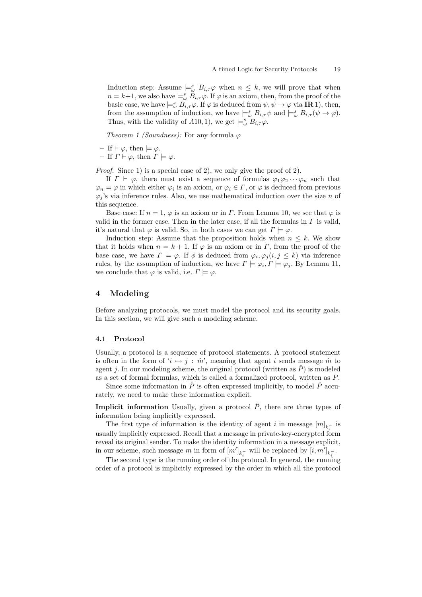Induction step: Assume  $\models_{\omega}^s B_{i,\tau}\varphi$  when  $n \leq k$ , we will prove that when  $n = k+1$ , we also have  $\models_{\omega}^s B_{i,\tau}\varphi$ . If  $\varphi$  is an axiom, then, from the proof of the basic case, we have  $\models^s_\omega B_{i,\tau}\varphi$ . If  $\varphi$  is deduced from  $\psi, \psi \to \varphi$  via **IR** 1), then, from the assumption of induction, we have  $\models_{\omega}^s B_{i,\tau}\psi$  and  $\models_{\omega}^s B_{i,\tau}(\psi \to \varphi)$ . Thus, with the validity of  $A10, 1$ , we get  $\models_{\omega}^{s} B_{i,\tau}\varphi$ .

Theorem 1 (Soundness): For any formula  $\varphi$ 

$$
-
$$
 If  $\vdash \varphi$ , then  $\models \varphi$ .

– If  $\Gamma \vdash \varphi$ , then  $\Gamma \models \varphi$ .

Proof. Since 1) is a special case of 2), we only give the proof of 2).

If  $\Gamma \vdash \varphi$ , there must exist a sequence of formulas  $\varphi_1 \varphi_2 \cdots \varphi_n$  such that  $\varphi_n = \varphi$  in which either  $\varphi_i$  is an axiom, or  $\varphi_i \in \Gamma$ , or  $\varphi$  is deduced from previous  $\varphi_j$ 's via inference rules. Also, we use mathematical induction over the size n of this sequence.

Base case: If  $n = 1$ ,  $\varphi$  is an axiom or in  $\Gamma$ . From Lemma 10, we see that  $\varphi$  is valid in the former case. Then in the later case, if all the formulas in  $\Gamma$  is valid, it's natural that  $\varphi$  is valid. So, in both cases we can get  $\Gamma \models \varphi$ .

Induction step: Assume that the proposition holds when  $n \leq k$ . We show that it holds when  $n = k + 1$ . If  $\varphi$  is an axiom or in  $\Gamma$ , from the proof of the base case, we have  $\Gamma \models \varphi$ . If  $\phi$  is deduced from  $\varphi_i, \varphi_j (i,j \leq k)$  via inference rules, by the assumption of induction, we have  $\Gamma \models \varphi_i, \Gamma \models \varphi_j$ . By Lemma 11, we conclude that  $\varphi$  is valid, i.e.  $\Gamma \models \varphi$ .

### 4 Modeling

Before analyzing protocols, we must model the protocol and its security goals. In this section, we will give such a modeling scheme.

#### 4.1 Protocol

Usually, a protocol is a sequence of protocol statements. A protocol statement is often in the form of ' $i \rightarrow j$ :  $\hat{m}$ ', meaning that agent i sends message  $\hat{m}$  to agent *i*. In our modeling scheme, the original protocol (written as  $\hat{P}$ ) is modeled as a set of formal formulas, which is called a formalized protocol, written as  $P$ .

Since some information in  $\hat{P}$  is often expressed implicitly, to model  $\hat{P}$  accurately, we need to make these information explicit.

**Implicit information** Usually, given a protocol  $\hat{P}$ , there are three types of information being implicitly expressed.

The first type of information is the identity of agent *i* in message  $[m]_{k_i^-}$  is usually implicitly expressed. Recall that a message in private-key-encrypted form reveal its original sender. To make the identity information in a message explicit, in our scheme, such message  $m$  in form of  $[m']_{k_i^-}$  will be replaced by  $[i, m']_{k_i^-}$ .

The second type is the running order of the protocol. In general, the running order of a protocol is implicitly expressed by the order in which all the protocol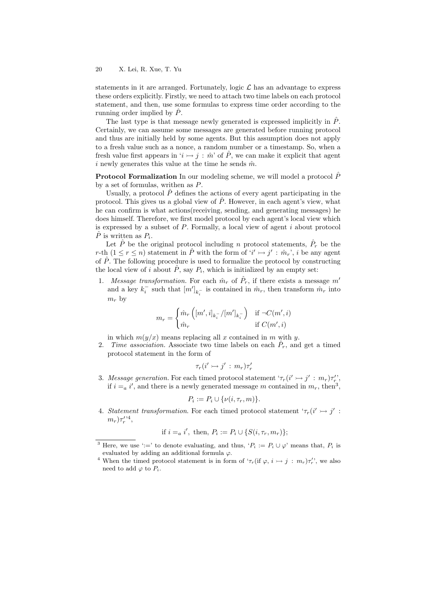statements in it are arranged. Fortunately, logic  $\mathcal L$  has an advantage to express these orders explicitly. Firstly, we need to attach two time labels on each protocol statement, and then, use some formulas to express time order according to the running order implied by  $\hat{P}$ .

The last type is that message newly generated is expressed implicitly in  $\hat{P}$ . Certainly, we can assume some messages are generated before running protocol and thus are initially held by some agents. But this assumption does not apply to a fresh value such as a nonce, a random number or a timestamp. So, when a fresh value first appears in ' $i \mapsto j : \hat{m}'$  of  $\hat{P}$ , we can make it explicit that agent i newly generates this value at the time he sends  $\hat{m}$ .

**Protocol Formalization** In our modeling scheme, we will model a protocol  $\hat{P}$ by a set of formulas, writhen as  $P$ .

Usually, a protocol  $\hat{P}$  defines the actions of every agent participating in the protocol. This gives us a global view of  $\hat{P}$ . However, in each agent's view, what he can confirm is what actions(receiving, sending, and generating messages) he does himself. Therefore, we first model protocol by each agent's local view which is expressed by a subset of  $P$ . Formally, a local view of agent  $i$  about protocol  $\hat{P}$  is written as  $P_i$ .

Let  $\hat{P}$  be the original protocol including n protocol statements,  $\hat{P}_r$  be the r-th  $(1 \le r \le n)$  statement in  $\hat{P}$  with the form of ' $i' \rightarrow j' : \hat{m}_r$ ', i be any agent of  $\hat{P}$ . The following procedure is used to formalize the protocol by constructing the local view of i about  $\hat{P}$ , say  $P_i$ , which is initialized by an empty set:

1. Message transformation. For each  $\hat{m}_r$  of  $\hat{P}_r$ , if there exists a message  $m'$ and a key  $k_i^-$  such that  $[m']_{k_i^-}$  is contained in  $\hat{m}_r$ , then transform  $\hat{m}_r$  into  $m_r$  by

$$
m_r = \begin{cases} \hat{m}_r \left( [m', i]_{k_i^-} / [m']_{k_i^-} \right) & \text{if } \neg C(m', i) \\ \hat{m}_r & \text{if } C(m', i) \end{cases}
$$

in which  $m(y/x)$  means replacing all x contained in m with y.

2. Time association. Associate two time labels on each  $\hat{P}_r$ , and get a timed protocol statement in the form of

$$
\tau_r(i' \rightarrowtail j': m_r)\tau'_r
$$

3. Message generation. For each timed protocol statement  $\tau_r(i' \rightarrow j': m_r) \tau'_r$ , if  $i = a$  i', and there is a newly generated message m contained in  $m_r$ , then<sup>3</sup>,

$$
P_i := P_i \cup \{ \nu(i, \tau_r, m) \}.
$$

4. Statement transformation. For each timed protocol statement ' $\tau_r(i' \rightarrow j'$ :  $(m_r)\tau_r^{\prime\, ,4},$ 

if 
$$
i =_a i'
$$
, then,  $P_i := P_i \cup \{S(i, \tau_r, m_r)\};$ 

<sup>&</sup>lt;sup>3</sup> Here, we use ':=' to denote evaluating, and thus, ' $P_i := P_i \cup \varphi$ ' means that,  $P_i$  is evaluated by adding an additional formula  $\varphi$ .

<sup>&</sup>lt;sup>4</sup> When the timed protocol statement is in form of  $\tau_r$  (if  $\varphi$ ,  $i \to j : m_r$ ) $\tau'_r$ , we also need to add  $\varphi$  to  $P_i$ .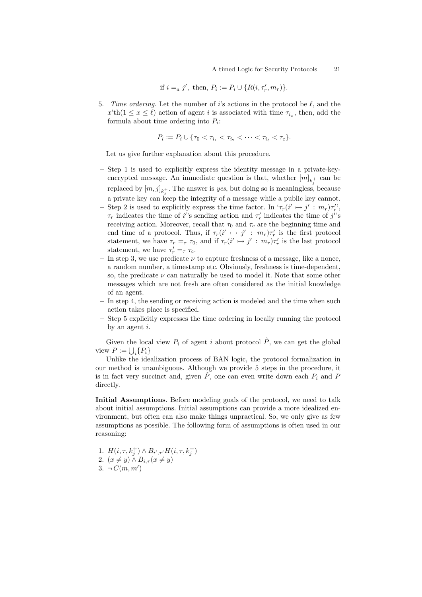if 
$$
i =_a j'
$$
, then,  $P_i := P_i \cup \{R(i, \tau'_r, m_r)\}.$ 

5. Time ordering. Let the number of i's actions in the protocol be  $\ell$ , and the  $x'th(1 \leq x \leq \ell)$  action of agent i is associated with time  $\tau_{i_x}$ , then, add the formula about time ordering into  $P_i$ :

$$
P_i := P_i \cup \{ \tau_0 < \tau_{i_1} < \tau_{i_2} < \cdots < \tau_{i_\ell} < \tau_c \}.
$$

Let us give further explanation about this procedure.

- Step 1 is used to explicitly express the identity message in a private-keyencrypted message. An immediate question is that, whether  $[m]_{k_j^+}$  can be replaced by  $[m,j]_{k_j^+}$ . The answer is *yes*, but doing so is meaningless, because a private key can keep the integrity of a message while a public key cannot.
- Step 2 is used to explicitly express the time factor. In  $\tau_r(i' \rightarrow j' : m_r)\tau'_r$ ,  $\tau_r$  indicates the time of *i*''s sending action and  $\tau'_r$  indicates the time of *j*''s receiving action. Moreover, recall that  $\tau_0$  and  $\tau_c$  are the beginning time and end time of a protocol. Thus, if  $\tau_r(i' \rightarrow j' : m_r) \tau'_r$  is the first protocol statement, we have  $\tau_r =_\tau \tau_0$ , and if  $\tau_r(i' \rightarrow j' : m_r)\tau'_r$  is the last protocol statement, we have  $\tau'_{r} = \tau \tau_{c}$ .
- In step 3, we use predicate  $\nu$  to capture freshness of a message, like a nonce, a random number, a timestamp etc. Obviously, freshness is time-dependent, so, the predicate  $\nu$  can naturally be used to model it. Note that some other messages which are not fresh are often considered as the initial knowledge of an agent.
- In step 4, the sending or receiving action is modeled and the time when such action takes place is specified.
- Step 5 explicitly expresses the time ordering in locally running the protocol by an agent  $i$ .

Given the local view  $P_i$  of agent i about protocol  $\hat{P}$ , we can get the global view  $P := \bigcup_i \{P_i\}$ 

Unlike the idealization process of BAN logic, the protocol formalization in our method is unambiguous. Although we provide 5 steps in the procedure, it is in fact very succinct and, given  $\hat{P}$ , one can even write down each  $P_i$  and P directly.

Initial Assumptions. Before modeling goals of the protocol, we need to talk about initial assumptions. Initial assumptions can provide a more idealized environment, but often can also make things unpractical. So, we only give as few assumptions as possible. The following form of assumptions is often used in our reasoning:

1. 
$$
H(i, \tau, k_j^+) \wedge B_{i', \tau'} H(i, \tau, k_j^+)
$$

2. 
$$
(x \neq y) \land B_{i,\tau} (x \neq y)
$$

$$
3. \neg C(m, m')
$$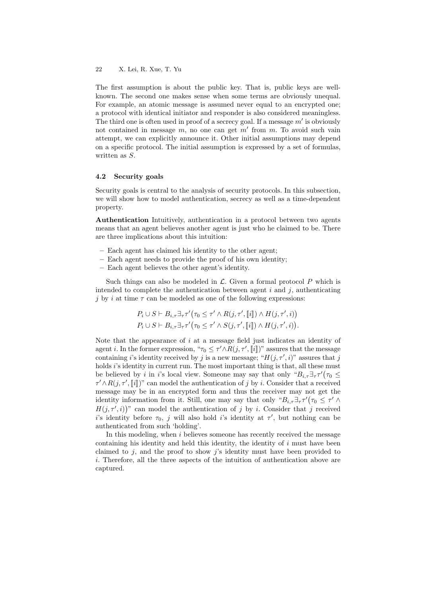The first assumption is about the public key. That is, public keys are wellknown. The second one makes sense when some terms are obviously unequal. For example, an atomic message is assumed never equal to an encrypted one; a protocol with identical initiator and responder is also considered meaningless. The third one is often used in proof of a secrecy goal. If a message  $m'$  is obviously not contained in message  $m$ , no one can get  $m'$  from  $m$ . To avoid such vain attempt, we can explicitly announce it. Other initial assumptions may depend on a specific protocol. The initial assumption is expressed by a set of formulas, written as  $S$ .

#### 4.2 Security goals

Security goals is central to the analysis of security protocols. In this subsection, we will show how to model authentication, secrecy as well as a time-dependent property.

Authentication Intuitively, authentication in a protocol between two agents means that an agent believes another agent is just who he claimed to be. There are three implications about this intuition:

- Each agent has claimed his identity to the other agent;
- Each agent needs to provide the proof of his own identity;
- Each agent believes the other agent's identity.

Such things can also be modeled in  $\mathcal{L}$ . Given a formal protocol P which is intended to complete the authentication between agent  $i$  and  $j$ , authenticating j by *i* at time  $\tau$  can be modeled as one of the following expressions:

$$
P_i \cup S \vdash B_{i,\tau} \exists_{\tau} \tau' (\tau_0 \leq \tau' \land R(j,\tau',[\![i]\!]) \land H(j,\tau',i))
$$
  

$$
P_i \cup S \vdash B_{i,\tau} \exists_{\tau} \tau' (\tau_0 \leq \tau' \land S(j,\tau',[\![i]\!]) \land H(j,\tau',i)).
$$

Note that the appearance of  $i$  at a message field just indicates an identity of agent *i*. In the former expression, " $\tau_0 \leq \tau' \wedge R(j, \tau', [\![i]\!])$ " assures that the message<br>containing *i*'s identity received by *i* is a new message: " $H(i, \tau', \cdot]$ " assures that *i* containing *i*'s identity received by *j* is a new message; " $H(j, \tau', i)$ " assures that *j* holds  $i$ 's identity in current run. The most important thing is that, all these must be believed by *i* in *i*'s local view. Someone may say that only " $B_{i,\tau}\exists_{\tau}\tau'(\tau_0 \leq$  $\tau' \wedge R(j, \tau', [i])$ " can model the authentication of j by i. Consider that a received message may be in an encrypted form and thus the receiver may not get the identity information from it. Still, one may say that only " $B_{i,\tau} \exists_{\tau} \tau' (\tau_0 \leq \tau' \wedge \tau')$ "  $H(j, \tau', i)$ " can model the authentication of j by i. Consider that j received i's identity before  $\tau_0$ , j will also hold i's identity at  $\tau'$ , but nothing can be authenticated from such 'holding'.

In this modeling, when  $i$  believes someone has recently received the message containing his identity and held this identity, the identity of  $i$  must have been claimed to  $j$ , and the proof to show  $j$ 's identity must have been provided to  $i$ . Therefore, all the three aspects of the intuition of authentication above are captured.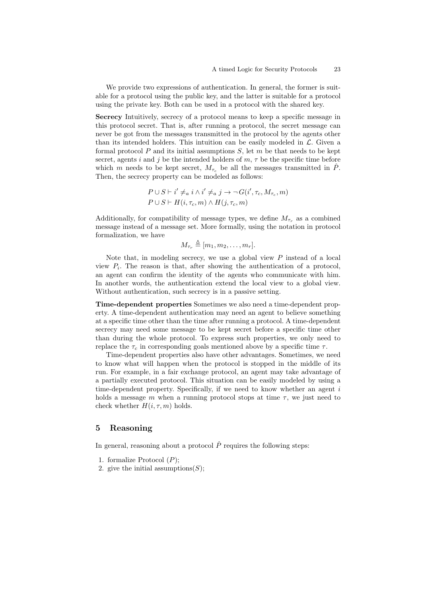We provide two expressions of authentication. In general, the former is suitable for a protocol using the public key, and the latter is suitable for a protocol using the private key. Both can be used in a protocol with the shared key.

Secrecy Intuitively, secrecy of a protocol means to keep a specific message in this protocol secret. That is, after running a protocol, the secret message can never be got from the messages transmitted in the protocol by the agents other than its intended holders. This intuition can be easily modeled in  $\mathcal{L}$ . Given a formal protocol  $P$  and its initial assumptions  $S$ , let  $m$  be that needs to be kept secret, agents i and j be the intended holders of  $m, \tau$  be the specific time before which m needs to be kept secret,  $M_{\tau_{\alpha}}$  be all the messages transmitted in  $\hat{P}$ . Then, the secrecy property can be modeled as follows:

$$
P \cup S \vdash i' \neq_a i \land i' \neq_a j \rightarrow \neg G(i', \tau_c, M_{\tau_c}, m)
$$
  

$$
P \cup S \vdash H(i, \tau_c, m) \land H(j, \tau_c, m)
$$

Additionally, for compatibility of message types, we define  $M_{\tau_r}$  as a combined message instead of a message set. More formally, using the notation in protocol formalization, we have

$$
M_{\tau_r} \triangleq [m_1, m_2, \ldots, m_r].
$$

Note that, in modeling secrecy, we use a global view  $P$  instead of a local view  $P_i$ . The reason is that, after showing the authentication of a protocol, an agent can confirm the identity of the agents who communicate with him. In another words, the authentication extend the local view to a global view. Without authentication, such secrecy is in a passive setting.

Time-dependent properties Sometimes we also need a time-dependent property. A time-dependent authentication may need an agent to believe something at a specific time other than the time after running a protocol. A time-dependent secrecy may need some message to be kept secret before a specific time other than during the whole protocol. To express such properties, we only need to replace the  $\tau_c$  in corresponding goals mentioned above by a specific time  $\tau$ .

Time-dependent properties also have other advantages. Sometimes, we need to know what will happen when the protocol is stopped in the middle of its run. For example, in a fair exchange protocol, an agent may take advantage of a partially executed protocol. This situation can be easily modeled by using a time-dependent property. Specifically, if we need to know whether an agent  $i$ holds a message  $m$  when a running protocol stops at time  $\tau$ , we just need to check whether  $H(i, \tau, m)$  holds.

## 5 Reasoning

In general, reasoning about a protocol  $\hat{P}$  requires the following steps:

- 1. formalize Protocol  $(P)$ ;
- 2. give the initial assumptions  $(S)$ ;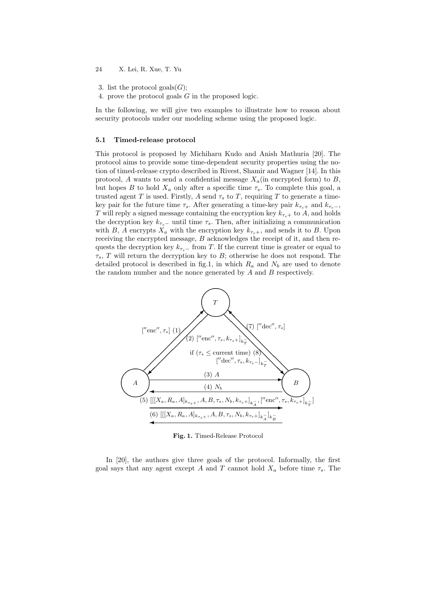- 3. list the protocol goals $(G)$ ;
- 4. prove the protocol goals  $G$  in the proposed logic.

In the following, we will give two examples to illustrate how to reason about security protocols under our modeling scheme using the proposed logic.

#### 5.1 Timed-release protocol

This protocol is proposed by Michiharu Kudo and Anish Mathuria [20]. The protocol aims to provide some time-dependent security properties using the notion of timed-release crypto described in Rivest, Shamir and Wagner [14]. In this protocol, A wants to send a confidential message  $X_a$ (in encrypted form) to B, but hopes  $B$  to hold  $X_a$  only after a specific time  $\tau_s$ . To complete this goal, a trusted agent T is used. Firstly, A send  $\tau_s$  to T, requiring T to generate a timekey pair for the future time  $\tau_s$ . After generating a time-key pair  $k_{\tau_s+}$  and  $k_{\tau_s-}$ , T will reply a signed message containing the encryption key  $k_{\tau_s+}$  to A, and holds the decryption key  $k_{\tau_s-}$  until time  $\tau_s$ . Then, after initializing a communication with B, A encrypts  $\tilde{X}_a$  with the encryption key  $k_{\tau_s+}$ , and sends it to B. Upon receiving the encrypted message,  $B$  acknowledges the receipt of it, and then requests the decryption key  $k_{\tau_{s-}}$  from T. If the current time is greater or equal to  $\tau_s$ , T will return the decryption key to B; otherwise he does not respond. The detailed protocol is described in fig.1, in which  $R_a$  and  $N_b$  are used to denote the random number and the nonce generated by  $A$  and  $B$  respectively.



Fig. 1. Timed-Release Protocol

In [20], the authors give three goals of the protocol. Informally, the first goal says that any agent except A and T cannot hold  $X_a$  before time  $\tau_s$ . The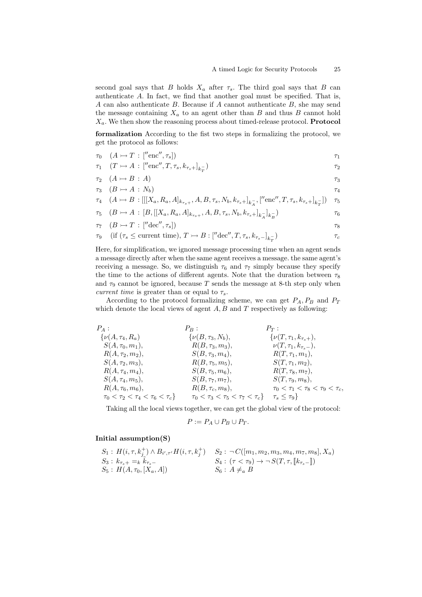second goal says that  $B$  holds  $X_a$  after  $\tau_s$ . The third goal says that  $B$  can authenticate  $A$ . In fact, we find that another goal must be specified. That is,  $A$  can also authenticate  $B$ . Because if  $A$  cannot authenticate  $B$ , she may send the message containing  $X_a$  to an agent other than  $B$  and thus  $B$  cannot hold  $X_a$ . We then show the reasoning process about timed-release protocol. **Protocol** 

formalization According to the fist two steps in formalizing the protocol, we get the protocol as follows:

$$
\tau_0 \quad (A \rightarrowtail T \, : \, [''\text{enc", } \tau_s]) \tag{7}
$$

$$
\tau_1 \quad (T \rightarrowtail A \,:\, [''\text{enc}'', T, \tau_s, k_{\tau_s+}]_{k_T^-}) \tag{72}
$$

$$
\tau_2 \quad (A \rightarrowtail B \,:\, A) \tag{73}
$$

$$
\tau_3 \quad (B \rightarrowtail A \,:\, N_b) \tag{74}
$$

$$
\tau_4 \quad (A \rightarrowtail B : [[[X_a, R_a, A]_{k_{\tau_s+}}, A, B, \tau_s, N_b, k_{\tau_s+}]_{k_A^-}, ["\text{enc}'', T, \tau_s, k_{\tau_s+}]_{k_T^-}]) \quad \tau_5
$$

$$
\tau_5 \quad (B \rightarrowtail A \,:\, [B,[[X_a, R_a, A]_{k_{\tau_s+}}, A, B, \tau_s, N_b, k_{\tau_s+}]_{k_A^-}]_{k_B^-}) \tag{76}
$$

$$
\tau_7 \quad (B \rightarrowtail T \,:\, ['' \text{dec}'', \tau_s]) \tag{78}
$$

$$
\tau_9 \quad \text{(if } (\tau_s \le \text{current time}), \, T \rightarrowtail B : [\text{''dec", } T, \tau_s, k_{\tau_s-}]_{k_T^-}) \tag{7.1}
$$

Here, for simplification, we ignored message processing time when an agent sends a message directly after when the same agent receives a message. the same agent's receiving a message. So, we distinguish  $\tau_6$  and  $\tau_7$  simply because they specify the time to the actions of different agents. Note that the duration between  $\tau_8$ and  $\tau_9$  cannot be ignored, because T sends the message at 8-th step only when current time is greater than or equal to  $\tau_s$ .

According to the protocol formalizing scheme, we can get  $P_A$ ,  $P_B$  and  $P_T$ which denote the local views of agent  $A, B$  and  $T$  respectively as following:

$$
P_A: P_B: P_T: \{v(A, \tau_4, R_a) \qquad \{v(B, \tau_3, N_b), \qquad \{v(T, \tau_1, k_{\tau_s+}), \\ S(A, \tau_0, m_1), \qquad R(B, \tau_3, m_3), \qquad v(T, \tau_1, k_{\tau_s-}), \\ R(A, \tau_2, m_2), \qquad S(B, \tau_3, m_4), \qquad R(T, \tau_1, m_1), \\ S(A, \tau_4, m_4), \qquad S(B, \tau_5, m_6), \qquad S(T, \tau_1, m_2), \\ S(A, \tau_4, m_5), \qquad S(B, \tau_5, m_6), \qquad R(T, \tau_8, m_7), \\ S(A, \tau_4, m_5), \qquad S(B, \tau_7, m_7), \qquad S(T, \tau_9, m_8), \\ R(A, \tau_6, m_6), \qquad R(B, \tau_c, m_8), \qquad \tau_0 < \tau_1 < \tau_8 < \tau_9 < \tau_c, \\ \tau_0 < \tau_2 < \tau_4 < \tau_6 < \tau_c \} \qquad \tau_0 < \tau_3 < \tau_5 < \tau_7 < \tau_c \} \qquad \tau_s \leq \tau_9 \}
$$

Taking all the local views together, we can get the global view of the protocol:

$$
P := P_A \cup P_B \cup P_T.
$$

### Initial assumption(S)

$$
S_1: H(i, \tau, k_j^+) \wedge B_{i', \tau'} H(i, \tau, k_j^+) \quad S_2: \neg C([m_1, m_2, m_3, m_4, m_7, m_8], X_a)
$$
  
\n
$$
S_3: k_{\tau_s+} =_k \tilde{k}_{\tau_s-} \quad S_4: (\tau < \tau_9) \rightarrow \neg S(T, \tau, [\lfloor k_{\tau_s-} \rfloor])
$$
  
\n
$$
S_5: H(A, \tau_0, [X_a, A]) \quad S_6: A \neq_a B
$$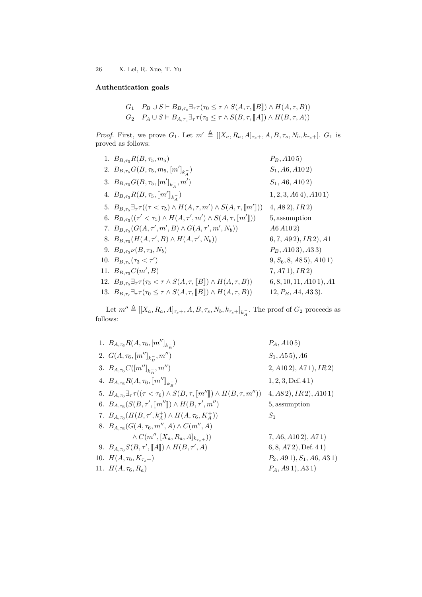## Authentication goals

 $G_1 \quad P_B \cup S \vdash B_{B,\tau_c} \exists_\tau \tau(\tau_0 \leq \tau \wedge S(A,\tau,{[\![}B{\!]\!]) \wedge H(A,\tau,B))$  $G_2$   $P_A \cup S \vdash B_{A,\tau_c} \exists_\tau \tau(\tau_0 \leq \tau \wedge S(B,\tau,[A])) \wedge H(B,\tau,A))$ 

*Proof.* First, we prove  $G_1$ . Let  $m' \triangleq [[X_a, R_a, A]_{\tau_s+}, A, B, \tau_s, N_b, k_{\tau_s+}]$ .  $G_1$  is proved as follows:

| 1. $B_{B,\tau_5}R(B,\tau_5,m_5)$                                                                                               | $P_B$ , A105)             |
|--------------------------------------------------------------------------------------------------------------------------------|---------------------------|
| 2. $B_{B,\tau_5}G(B,\tau_5,m_5,[m']_{k_2^-})$                                                                                  | $S_1$ , A6, A102)         |
| 3. $B_{B,\tau_5}G(B,\tau_5,[m']_{k_2^-},m')$                                                                                   | $S_1$ , A6, A102)         |
| 4. $B_{B,\tau_5}R(B,\tau_5,\llbracket m'\rrbracket_{k_1^-})$                                                                   | $1, 2, 3, A64$ , $A101$   |
| 5. $B_{B,\tau_5}\exists_\tau \tau((\tau \langle \tau_5 \rangle \wedge H(A,\tau,m') \wedge S(A,\tau,\llbracket m' \rrbracket))$ | (4, A82), IR2)            |
| 6. $B_{B,\tau_5}((\tau' < \tau_5) \wedge H(A,\tau',m') \wedge S(A,\tau,[m'])$                                                  | 5, assumption             |
| 7. $B_{B,\tau_5}(G(A,\tau',m',B)\wedge G(A,\tau',m',N_b))$                                                                     | A6A102)                   |
| 8. $B_{B,\tau_5}(H(A,\tau',B)\wedge H(A,\tau',N_b))$                                                                           | (6, 7, A92), IR2), A1     |
| 9. $B_{B,\tau_5}\nu(B,\tau_3,N_b)$                                                                                             | $P_B$ , A103), A33)       |
| 10. $B_{B,\tau_5}(\tau_3 < \tau')$                                                                                             | $(9, S_6, 8, A85), A101)$ |
| 11. $B_{B,\tau_5}C(m',B)$                                                                                                      | 7, A71, IR2)              |
| 12. $B_{B,\tau_5}\exists_{\tau}\tau(\tau_3\lt\tau\wedge S(A,\tau,[B])\wedge H(A,\tau,B))$                                      | $6, 8, 10, 11, A101$ , A1 |
| 13. $B_{B,\tau_c} \exists_{\tau} \tau(\tau_0 \leq \tau \wedge S(A,\tau,[B]) \wedge H(A,\tau,B))$                               | $12, P_B, A4, A33$ .      |
|                                                                                                                                |                           |

Let  $m'' \triangleq [[X_a, R_a, A]_{\tau_s+}, A, B, \tau_s, N_b, k_{\tau_s+}]_{k_A^-}$ . The proof of  $G_2$  proceeds as follows:

| 1. $B_{A,\tau_6}R(A,\tau_6,[m'']_{k_p^-})$                                                                             | $P_A$ , A105)                  |
|------------------------------------------------------------------------------------------------------------------------|--------------------------------|
| 2. $G(A, \tau_6, [m'']_{k_B^-}, m'')$                                                                                  | $S_1$ , A5 5), A6              |
| 3. $B_{A,\tau_6}C([m'']_{k_P^-},m'')$                                                                                  | $2, A102$ , $A71$ , $IR2$ )    |
| 4. $B_{A,\tau_6}R(A,\tau_6,\llbracket m'' \rrbracket_{k_2^-})$                                                         | $1, 2, 3, \text{Def. } 41)$    |
| 5. $B_{A,\tau_6} \exists_{\tau} \tau((\tau < \tau_6) \wedge S(B,\tau,\llbracket m'' \rrbracket) \wedge H(B,\tau,m''))$ | (4, A82), IR2), A101)          |
| 6. $B_{A,\tau_6}(S(B,\tau', [m'']) \wedge H(B,\tau',m''))$                                                             | 5, assumption                  |
| 7. $B_{A,\tau_6}(H(B,\tau',k_A^+) \wedge H(A,\tau_6,K_A^+))$                                                           | $S_1$                          |
| 8. $B_{A,\tau_6}(G(A,\tau_6,m'',A)\wedge C(m'',A))$                                                                    |                                |
| $\wedge C(m'', [X_a, R_a, A]_{k_{\tau_{s+}}}))$                                                                        | 7, A6, A102, A71)              |
| 9. $B_{A,\tau_6}S(B,\tau', \llbracket A \rrbracket) \wedge H(B,\tau',A)$                                               | (6, 8, A72), Def. 41)          |
| 10. $H(A, \tau_6, K_{\tau_s+})$                                                                                        | $P_2$ , A91), $S_1$ , A6, A31) |
| 11. $H(A, \tau_6, R_a)$                                                                                                | $P_A$ , A9 1), A3 1)           |
|                                                                                                                        |                                |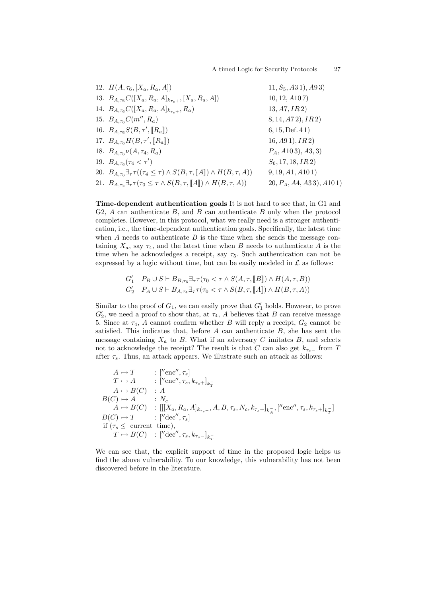| 12. $H(A, \tau_6, [X_a, R_a, A])$                                                                                | $11, S_5, A31, A93)$        |
|------------------------------------------------------------------------------------------------------------------|-----------------------------|
| 13. $B_{A,\tau_6}C([X_a,R_a,A]_{k_{\tau_2+}},[X_a,R_a,A])$                                                       | 10, 12, A107                |
| 14. $B_{A,\tau_6}C([X_a,R_a,A]_{k_{\tau_{s+}}},R_a)$                                                             | 13, A7, IR2)                |
| 15. $B_{A,\tau_6}C(m'',R_a)$                                                                                     | 8, 14, 472, IR2)            |
| 16. $B_{A,\tau_6}S(B,\tau', \ R_a\ )$                                                                            | 6, 15, Def. 41)             |
| 17. $B_{A,\tau_6}H(B,\tau', \ R_a\ )$                                                                            | $16, A91$ , $IR2$ )         |
| 18. $B_{A,\tau_6}\nu(A,\tau_4,R_a)$                                                                              | $P_A$ , A103), A3, 3)       |
| 19. $B_{A,\tau_6}(\tau_4 < \tau')$                                                                               | $S_6$ , 17, 18, IR 2)       |
| 20. $B_{A,\tau_6}\exists_{\tau}\tau((\tau_4\leq \tau)\wedge S(B,\tau,\llbracket A\rrbracket)\wedge H(B,\tau,A))$ | 9, 19, A1, A101             |
| 21. $B_{A,\tau_c} \exists_{\tau} \tau(\tau_0 \leq \tau \wedge S(B,\tau,[A]) \wedge H(B,\tau,A))$                 | $(20, P_A, A4, A33), A101)$ |
|                                                                                                                  |                             |

Time-dependent authentication goals It is not hard to see that, in G1 and G2,  $A$  can authenticate  $B$ , and  $B$  can authenticate  $B$  only when the protocol completes. However, in this protocol, what we really need is a stronger authentication, i.e., the time-dependent authentication goals. Specifically, the latest time when  $A$  needs to authenticate  $B$  is the time when she sends the message containing  $X_a$ , say  $\tau_4$ , and the latest time when B needs to authenticate A is the time when he acknowledges a receipt, say  $\tau_5$ . Such authentication can not be expressed by a logic without time, but can be easily modeled in  $\mathcal L$  as follows:

$$
G'_1 \quad P_B \cup S \vdash B_{B,\tau_5} \exists_\tau \tau(\tau_0 < \tau \land S(A,\tau,\llbracket B \rrbracket) \land H(A,\tau,B))
$$
  

$$
G'_2 \quad P_A \cup S \vdash B_{A,\tau_4} \exists_\tau \tau(\tau_0 < \tau \land S(B,\tau,\llbracket A \rrbracket) \land H(B,\tau,A))
$$

Similar to the proof of  $G_1$ , we can easily prove that  $G'_1$  holds. However, to prove  $G_{2}'$ , we need a proof to show that, at  $\tau_4$ , A believes that B can receive message 5. Since at  $\tau_4$ , A cannot confirm whether B will reply a receipt,  $G_2$  cannot be satisfied. This indicates that, before  $A$  can authenticate  $B$ , she has sent the message containing  $X_a$  to B. What if an adversary C imitates B, and selects not to acknowledge the receipt? The result is that C can also get  $k_{\tau_{s-}}$  from T after  $\tau_s$ . Thus, an attack appears. We illustrate such an attack as follows:

$$
A \rightarrow T \qquad : [{}^{\prime\prime}\text{enc}'', \tau_s]
$$
  
\n
$$
T \rightarrow A \qquad : [{}^{\prime\prime}\text{enc}'', \tau_s, k_{\tau_s+}]_{k_T^-}
$$
  
\n
$$
A \rightarrow B(C) \qquad : A
$$
  
\n
$$
B(C) \rightarrow A \qquad : N_c
$$
  
\n
$$
A \rightarrow B(C) \qquad : [[[X_a, R_a, A]_{k_{\tau_s+}}, A, B, \tau_s, N_c, k_{\tau_s+}]_{k_A^-}, [{}^{\prime\prime}\text{enc}'', \tau_s, k_{\tau_s+}]_{k_T^-}]
$$
  
\n
$$
B(C) \rightarrow T \qquad : [{}^{\prime\prime}\text{dec}'', \tau_s]
$$
  
\nif  $(\tau_s \leq \text{current time}),$   
\n $T \rightarrow B(C) \qquad : [{}^{\prime\prime}\text{dec}'', \tau_s, k_{\tau_s-}]_{k_T^-}$ 

We can see that, the explicit support of time in the proposed logic helps us find the above vulnerability. To our knowledge, this vulnerability has not been discovered before in the literature.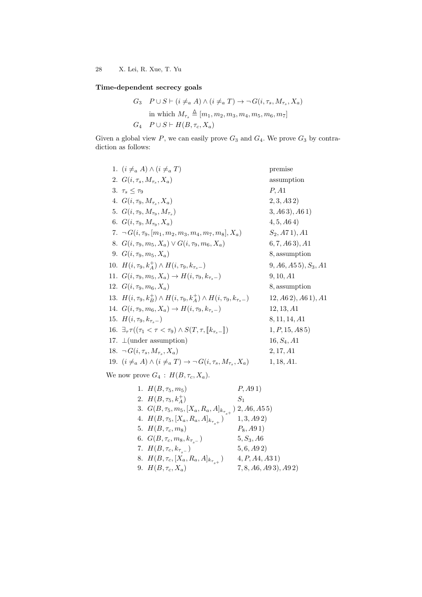# Time-dependent secrecy goals

$$
G_3 \quad P \cup S \vdash (i \neq_a A) \land (i \neq_a T) \rightarrow \neg G(i, \tau_s, M_{\tau_s}, X_a)
$$
  
in which  $M_{\tau_s} \triangleq [m_1, m_2, m_3, m_4, m_5, m_6, m_7]$   
 $G_4 \quad P \cup S \vdash H(B, \tau_c, X_a)$ 

Given a global view  $P$ , we can easily prove  $G_3$  and  $G_4$ . We prove  $G_3$  by contradiction as follows:

| 1. $(i \neq_a A) \wedge (i \neq_a T)$                                                                      | premise                 |
|------------------------------------------------------------------------------------------------------------|-------------------------|
| 2. $G(i, \tau_s, M_{\tau_s}, X_a)$                                                                         | assumption              |
| 3. $\tau_s \leq \tau_9$                                                                                    | P, A1                   |
| 4. $G(i, \tau_9, M_{\tau_s}, X_a)$                                                                         | 2, 3, A32               |
| 5. $G(i, \tau_9, M_{\tau_9}, M_{\tau_8})$                                                                  | (3, A63), A61)          |
| 6. $G(i, \tau_9, M_{\tau_9}, X_a)$                                                                         | 4, 5, A64)              |
| 7. $\neg G(i, \tau_9, [m_1, m_2, m_3, m_4, m_7, m_8], X_a)$                                                | $S_2$ , A71), A1        |
| 8. $G(i, \tau_9, m_5, X_a) \vee G(i, \tau_9, m_6, X_a)$                                                    | (6, 7, A63), A1         |
| 9. $G(i, \tau_9, m_5, X_a)$                                                                                | 8, assumption           |
| 10. $H(i, \tau_9, k_4^+) \wedge H(i, \tau_9, k_{\tau_9})$                                                  | $(9, A6, A55), S_3, A1$ |
| 11. $G(i, \tau_9, m_5, X_a) \rightarrow H(i, \tau_9, k_{\tau_{s-}})$                                       | 9, 10, A1               |
| 12. $G(i, \tau_9, m_6, X_a)$                                                                               | 8, assumption           |
| 13. $H(i, \tau_9, k_B^+) \wedge H(i, \tau_9, k_A^+) \wedge H(i, \tau_9, k_{\tau_9})$                       | (12, A62), A61), A1     |
| 14. $G(i, \tau_9, m_6, X_a) \rightarrow H(i, \tau_9, k_{\tau_8}$                                           | 12, 13, A1              |
| 15. $H(i, \tau_9, k_{\tau_s-})$                                                                            | 8, 11, 14, A1           |
| 16. $\exists_{\tau} \tau((\tau_1 < \tau < \tau_9) \wedge S(T, \tau, \llbracket k_{\tau_{s-}} \rrbracket))$ | 1, P, 15, A85           |
| 17. $\perp$ (under assumption)                                                                             | $16, S_4, A1$           |
| 18. $\neg G(i, \tau_s, M_{\tau_s}, X_a)$                                                                   | 2, 17, A1               |
| 19. $(i \neq_a A) \wedge (i \neq_a T) \rightarrow \neg G(i, \tau_s, M_{\tau_s}, X_a)$                      | 1, 18, A1.              |
|                                                                                                            |                         |

We now prove  $G_4$ :  $H(B, \tau_c, X_a)$ .

|  | 1. $H(B, \tau_5, m_5)$                                            | P, A91)               |
|--|-------------------------------------------------------------------|-----------------------|
|  | 2. $H(B, \tau_5, k_4^+)$                                          | $S_1$                 |
|  | 3. $G(B, \tau_5, m_5, [X_a, R_a, A]_{k_{\tau_{s+}}})$ 2, 46, 455) |                       |
|  | 4. $H(B, \tau_5, [X_a, R_a, A]_{k_{\tau_{a+}}})$                  | 1, 3, A92             |
|  | 5. $H(B, \tau_c, m_8)$                                            | $P_8$ , A91)          |
|  | 6. $G(B, \tau_c, m_8, k_{\tau_{s-}})$                             | $5, S_3, A6$          |
|  | 7. $H(B, \tau_c, k_{\tau_{s-}})$                                  | 5, 6, A92)            |
|  | 8. $H(B, \tau_c, [X_a, R_a, A]_{k_{\tau_{a+}}})$                  | 4, P, A4, A31)        |
|  | 9. $H(B, \tau_c, X_a)$                                            | (7, 8, A6, A93), A92) |
|  |                                                                   |                       |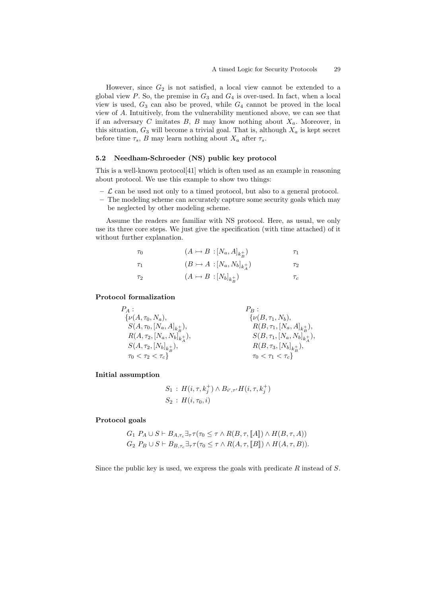However, since  $G_2$  is not satisfied, a local view cannot be extended to a global view  $P$ . So, the premise in  $G_3$  and  $G_4$  is over-used. In fact, when a local view is used,  $G_3$  can also be proved, while  $G_4$  cannot be proved in the local view of A. Intuitively, from the vulnerability mentioned above, we can see that if an adversary  $C$  imitates  $B$ ,  $B$  may know nothing about  $X_a$ . Moreover, in this situation,  $G_3$  will become a trivial goal. That is, although  $X_a$  is kept secret before time  $\tau_s$ , B may learn nothing about  $X_a$  after  $\tau_s$ .

#### 5.2 Needham-Schroeder (NS) public key protocol

This is a well-known protocol[41] which is often used as an example in reasoning about protocol. We use this example to show two things:

- $\mathcal{L}$  can be used not only to a timed protocol, but also to a general protocol.
- The modeling scheme can accurately capture some security goals which may be neglected by other modeling scheme.

Assume the readers are familiar with NS protocol. Here, as usual, we only use its three core steps. We just give the specification (with time attached) of it without further explanation.

| $\tau_0$ | $(A \rightarrowtail B : [N_a, A]_{k_p^+})$   | $\tau_1$ |
|----------|----------------------------------------------|----------|
| $\tau_1$ | $(B \rightarrowtail A : [N_a, N_b]_{k_a^+})$ | $\tau_2$ |
| $\tau_2$ | $(A \rightarrow B : [N_b]_{k_b^+})$          | $\tau_c$ |

#### Protocol formalization

| $P_A$ :                                      | $P_B$ :                                      |
|----------------------------------------------|----------------------------------------------|
| $\{\nu(A,\tau_0,N_a),\}$                     | $\{\nu(B,\tau_1,N_b),\}$                     |
| $S(A, \tau_0, [N_a, A]_{k_p}^{\mathbf{+}}),$ | $R(B, \tau_1, [N_a, A]_{k_p}^{\mathbf{+}}),$ |
| $R(A, \tau_2, [N_a, N_b]_{k_+^+}),$          | $S(B, \tau_1, [N_a, N_b]_{k_4^+}),$          |
| $S(A, \tau_2, [N_b]_{k_D^+}),$               | $R(B, \tau_3, [N_b]_{k_D^+}),$               |
| $\tau_0 < \tau_2 < \tau_c$                   | $\tau_0 < \tau_1 < \tau_c$                   |

Initial assumption

$$
S_1 : H(i, \tau, k_j^+) \wedge B_{i', \tau'} H(i, \tau, k_j^+)
$$
  

$$
S_2 : H(i, \tau_0, i)
$$

#### Protocol goals

 $G_1$   $P_A \cup S \vdash B_{A,\tau} \exists_{\tau} \tau(\tau_0 \leq \tau \wedge R(B,\tau,\llbracket A \rrbracket) \wedge H(B,\tau,A))$  $G_2$   $P_B \cup S \vdash B_{B,\tau_c} \exists_\tau \tau(\tau_0 \leq \tau \land R(A,\tau, \llbracket B \rrbracket) \land H(A,\tau, B)).$ 

Since the public key is used, we express the goals with predicate  $R$  instead of  $S$ .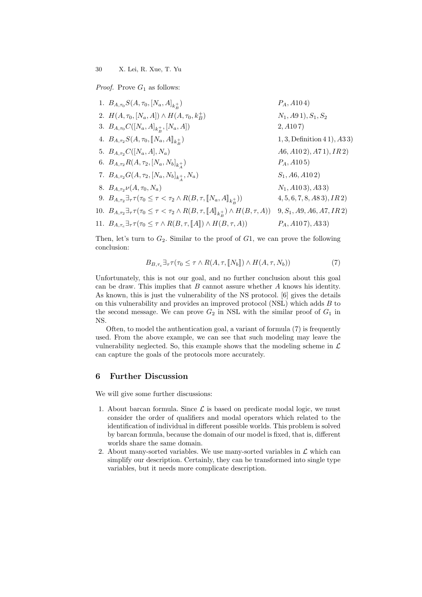*Proof.* Prove  $G_1$  as follows:

| 1. $B_{A,\tau_0}S(A,\tau_0,[N_a,A]_{k_p}^+)$                                                                                                  | $P_A$ , A104)                   |
|-----------------------------------------------------------------------------------------------------------------------------------------------|---------------------------------|
| 2. $H(A, \tau_0, [N_a, A]) \wedge H(A, \tau_0, k_B^+)$                                                                                        | $N_1$ , A91), $S_1$ , $S_2$     |
| 3. $B_{A,\tau_0}C([N_a,A]_{k_B^+},[N_a,A])$                                                                                                   | 2, A107                         |
| 4. $B_{A,\tau_2}S(A,\tau_0,\llbracket N_a,A \rrbracket_{k_D^+})$                                                                              | $1, 3,$ Definition $41$ , $A33$ |
| 5. $B_{A,\tau_2}C([N_a,A],N_a)$                                                                                                               | A6, A102), A71), IR2)           |
| 6. $B_{A,\tau_2}R(A,\tau_2,[N_a,N_b]_{k_+^+})$                                                                                                | $P_A$ , A10 5)                  |
| 7. $B_{A,\tau_2}G(A,\tau_2,[N_a,N_b]_{k_a^+},N_a)$                                                                                            | $S_1$ , A6, A102)               |
| 8. $B_{A,\tau_2}\nu(A,\tau_0,N_a)$                                                                                                            | $N_1$ , A103), A33)             |
| 9. $B_{A,\tau_2} \exists_{\tau} \tau(\tau_0 \leq \tau < \tau_2 \wedge R(B,\tau, \llbracket N_a, A \rrbracket_{k, \tau})$                      | $4, 5, 6, 7, 8, A83$ , $IR2$    |
| 10. $B_{A,\tau_2} \exists_\tau \tau(\tau_0 \leq \tau \lt \tau_2 \land R(B,\tau,\llbracket A \rrbracket_{k_\mathcal{B}^+}) \land H(B,\tau,A))$ | $9, S_1, A9, A6, A7, IR2$       |
| 11. $B_{A,\tau_c} \exists_{\tau} \tau(\tau_0 \leq \tau \wedge R(B,\tau,[\![A]\!]) \wedge H(B,\tau,A))$                                        | $P_A$ , A10 7), A3 3)           |
|                                                                                                                                               |                                 |

Then, let's turn to  $G_2$ . Similar to the proof of  $G_1$ , we can prove the following conclusion:

$$
B_{B,\tau_c} \exists_{\tau} \tau(\tau_0 \leq \tau \wedge R(A,\tau,\llbracket N_b \rrbracket) \wedge H(A,\tau,N_b)) \tag{7}
$$

Unfortunately, this is not our goal, and no further conclusion about this goal can be draw. This implies that  $B$  cannot assure whether  $A$  knows his identity. As known, this is just the vulnerability of the NS protocol. [6] gives the details on this vulnerability and provides an improved protocol (NSL) which adds  $B$  to the second message. We can prove  $G_2$  in NSL with the similar proof of  $G_1$  in NS.

Often, to model the authentication goal, a variant of formula (7) is frequently used. From the above example, we can see that such modeling may leave the vulnerability neglected. So, this example shows that the modeling scheme in  $\mathcal L$ can capture the goals of the protocols more accurately.

# 6 Further Discussion

We will give some further discussions:

- 1. About barcan formula. Since  $\mathcal L$  is based on predicate modal logic, we must consider the order of qualifiers and modal operators which related to the identification of individual in different possible worlds. This problem is solved by barcan formula, because the domain of our model is fixed, that is, different worlds share the same domain.
- 2. About many-sorted variables. We use many-sorted variables in  $\mathcal L$  which can simplify our description. Certainly, they can be transformed into single type variables, but it needs more complicate description.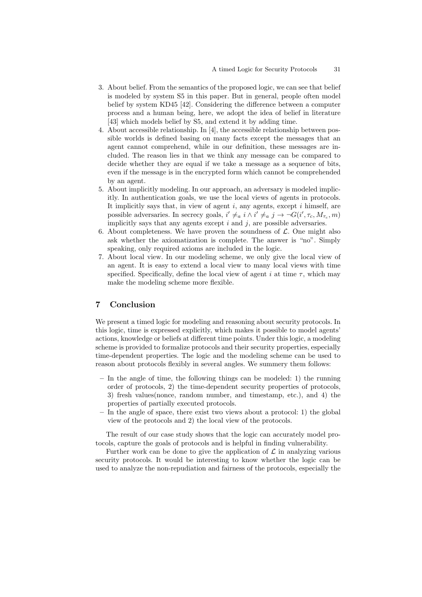- 3. About belief. From the semantics of the proposed logic, we can see that belief is modeled by system S5 in this paper. But in general, people often model belief by system KD45 [42]. Considering the difference between a computer process and a human being, here, we adopt the idea of belief in literature [43] which models belief by S5, and extend it by adding time.
- 4. About accessible relationship. In [4], the accessible relationship between possible worlds is defined basing on many facts except the messages that an agent cannot comprehend, while in our definition, these messages are included. The reason lies in that we think any message can be compared to decide whether they are equal if we take a message as a sequence of bits, even if the message is in the encrypted form which cannot be comprehended by an agent.
- 5. About implicitly modeling. In our approach, an adversary is modeled implicitly. In authentication goals, we use the local views of agents in protocols. It implicitly says that, in view of agent  $i$ , any agents, except  $i$  himself, are possible adversaries. In secrecy goals,  $i' \neq_a i \land i' \neq_a j \rightarrow \neg G(i', \tau_c, M_{\tau_c}, m)$ implicitly says that any agents except  $i$  and  $j$ , are possible adversaries.
- 6. About completeness. We have proven the soundness of  $\mathcal{L}$ . One might also ask whether the axiomatization is complete. The answer is "no". Simply speaking, only required axioms are included in the logic.
- 7. About local view. In our modeling scheme, we only give the local view of an agent. It is easy to extend a local view to many local views with time specified. Specifically, define the local view of agent  $i$  at time  $\tau$ , which may make the modeling scheme more flexible.

### 7 Conclusion

We present a timed logic for modeling and reasoning about security protocols. In this logic, time is expressed explicitly, which makes it possible to model agents' actions, knowledge or beliefs at different time points. Under this logic, a modeling scheme is provided to formalize protocols and their security properties, especially time-dependent properties. The logic and the modeling scheme can be used to reason about protocols flexibly in several angles. We summery them follows:

- In the angle of time, the following things can be modeled: 1) the running order of protocols, 2) the time-dependent security properties of protocols, 3) fresh values(nonce, random number, and timestamp, etc.), and 4) the properties of partially executed protocols.
- In the angle of space, there exist two views about a protocol: 1) the global view of the protocols and 2) the local view of the protocols.

The result of our case study shows that the logic can accurately model protocols, capture the goals of protocols and is helpful in finding vulnerability.

Further work can be done to give the application of  $\mathcal L$  in analyzing various security protocols. It would be interesting to know whether the logic can be used to analyze the non-repudiation and fairness of the protocols, especially the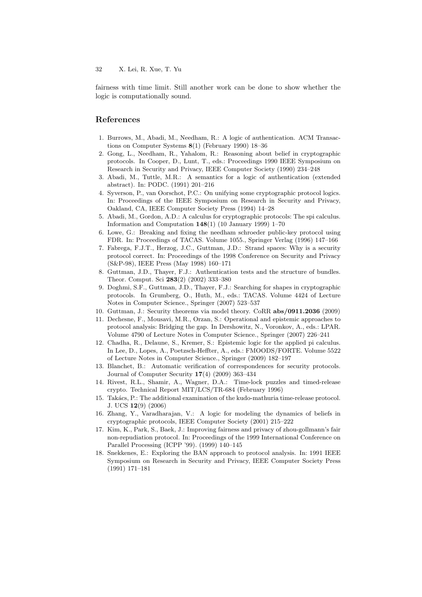fairness with time limit. Still another work can be done to show whether the logic is computationally sound.

# References

- 1. Burrows, M., Abadi, M., Needham, R.: A logic of authentication. ACM Transactions on Computer Systems 8(1) (February 1990) 18–36
- 2. Gong, L., Needham, R., Yahalom, R.: Reasoning about belief in cryptographic protocols. In Cooper, D., Lunt, T., eds.: Proceedings 1990 IEEE Symposium on Research in Security and Privacy, IEEE Computer Society (1990) 234–248
- 3. Abadi, M., Tuttle, M.R.: A semantics for a logic of authentication (extended abstract). In: PODC. (1991) 201–216
- 4. Syverson, P., van Oorschot, P.C.: On unifying some cryptographic protocol logics. In: Proceedings of the IEEE Symposium on Research in Security and Privacy, Oakland, CA, IEEE Computer Society Press (1994) 14–28
- 5. Abadi, M., Gordon, A.D.: A calculus for cryptographic protocols: The spi calculus. Information and Computation 148(1) (10 January 1999) 1–70
- 6. Lowe, G.: Breaking and fixing the needham schroeder public-key protocol using FDR. In: Proceedings of TACAS. Volume 1055., Springer Verlag (1996) 147–166
- 7. Fabrega, F.J.T., Herzog, J.C., Guttman, J.D.: Strand spaces: Why is a security protocol correct. In: Proceedings of the 1998 Conference on Security and Privacy (S&P-98), IEEE Press (May 1998) 160–171
- 8. Guttman, J.D., Thayer, F.J.: Authentication tests and the structure of bundles. Theor. Comput. Sci 283(2) (2002) 333–380
- 9. Doghmi, S.F., Guttman, J.D., Thayer, F.J.: Searching for shapes in cryptographic protocols. In Grumberg, O., Huth, M., eds.: TACAS. Volume 4424 of Lecture Notes in Computer Science., Springer (2007) 523–537
- 10. Guttman, J.: Security theorems via model theory. CoRR abs/0911.2036 (2009)
- 11. Dechesne, F., Mousavi, M.R., Orzan, S.: Operational and epistemic approaches to protocol analysis: Bridging the gap. In Dershowitz, N., Voronkov, A., eds.: LPAR. Volume 4790 of Lecture Notes in Computer Science., Springer (2007) 226–241
- 12. Chadha, R., Delaune, S., Kremer, S.: Epistemic logic for the applied pi calculus. In Lee, D., Lopes, A., Poetzsch-Heffter, A., eds.: FMOODS/FORTE. Volume 5522 of Lecture Notes in Computer Science., Springer (2009) 182–197
- 13. Blanchet, B.: Automatic verification of correspondences for security protocols. Journal of Computer Security  $17(4)$  (2009) 363-434
- 14. Rivest, R.L., Shamir, A., Wagner, D.A.: Time-lock puzzles and timed-release crypto. Technical Report MIT/LCS/TR-684 (February 1996)
- 15. Takács, P.: The additional examination of the kudo-mathuria time-release protocol. J. UCS 12(9) (2006)
- 16. Zhang, Y., Varadharajan, V.: A logic for modeling the dynamics of beliefs in cryptographic protocols, IEEE Computer Society (2001) 215–222
- 17. Kim, K., Park, S., Baek, J.: Improving fairness and privacy of zhou-gollmann's fair non-repudiation protocol. In: Proceedings of the 1999 International Conference on Parallel Processing (ICPP '99). (1999) 140–145
- 18. Snekkenes, E.: Exploring the BAN approach to protocol analysis. In: 1991 IEEE Symposium on Research in Security and Privacy, IEEE Computer Society Press (1991) 171–181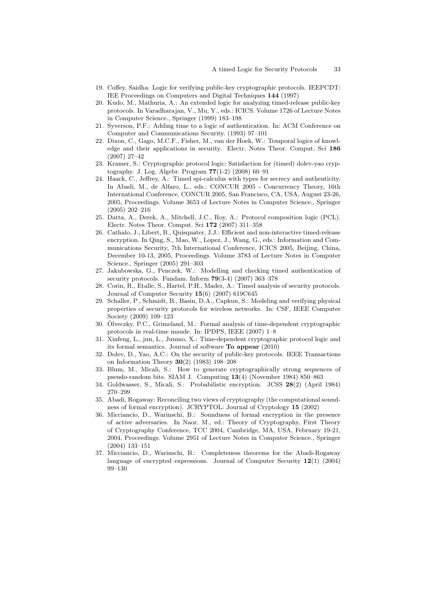- 19. Coffey, Saidha: Logic for verifying public-key cryptographic protocols. IEEPCDT: IEE Proceedings on Computers and Digital Techniques 144 (1997)
- 20. Kudo, M., Mathuria, A.: An extended logic for analyzing timed-release public-key protocols. In Varadharajan, V., Mu, Y., eds.: ICICS. Volume 1726 of Lecture Notes in Computer Science., Springer (1999) 183–198
- 21. Syverson, P.F.: Adding time to a logic of authentication. In: ACM Conference on Computer and Communications Security. (1993) 97–101
- 22. Dixon, C., Gago, M.C.F., Fisher, M., van der Hoek, W.: Temporal logics of knowledge and their applications in security. Electr. Notes Theor. Comput. Sci 186 (2007) 27–42
- 23. Kramer, S.: Cryptographic protocol logic: Satisfaction for (timed) dolev-yao cryptography. J. Log. Algebr. Program 77(1-2) (2008) 60–91
- 24. Haack, C., Jeffrey, A.: Timed spi-calculus with types for secrecy and authenticity. In Abadi, M., de Alfaro, L., eds.: CONCUR 2005 - Concurrency Theory, 16th International Conference, CONCUR 2005, San Francisco, CA, USA, August 23-26, 2005, Proceedings. Volume 3653 of Lecture Notes in Computer Science., Springer (2005) 202–216
- 25. Datta, A., Derek, A., Mitchell, J.C., Roy, A.: Protocol composition logic (PCL). Electr. Notes Theor. Comput. Sci 172 (2007) 311–358
- 26. Cathalo, J., Libert, B., Quisquater, J.J.: Efficient and non-interactive timed-release encryption. In Qing, S., Mao, W., Lopez, J., Wang, G., eds.: Information and Communications Security, 7th International Conference, ICICS 2005, Beijing, China, December 10-13, 2005, Proceedings. Volume 3783 of Lecture Notes in Computer Science., Springer (2005) 291–303
- 27. Jakubowska, G., Penczek, W.: Modelling and checking timed authentication of security protocols. Fundam. Inform 79(3-4) (2007) 363–378
- 28. Corin, R., Etalle, S., Hartel, P.H., Mader, A.: Timed analysis of security protocols. Journal of Computer Security 15(6) (2007) 619C645
- 29. Schaller, P., Schmidt, B., Basin, D.A., Capkun, S.: Modeling and verifying physical properties of security protocols for wireless networks. In: CSF, IEEE Computer Society (2009) 109–123
- 30. Olveczky, P.C., Grimeland, M.: Formal analysis of time-dependent cryptographic ¨ protocols in real-time maude. In: IPDPS, IEEE (2007) 1–8
- 31. Xinfeng, L., jun, L., Junmo, X.: Time-dependent cryptographic protocol logic and its formal semantics. Journal of software To appear (2010)
- 32. Dolev, D., Yao, A.C.: On the security of public-key protocols. IEEE Transactions on Information Theory 30(2) (1983) 198–208
- 33. Blum, M., Micali, S.: How to generate cryptographically strong sequences of pseudo-random bits. SIAM J. Computing 13(4) (November 1984) 850–863
- 34. Goldwasser, S., Micali, S.: Probabilistic encryption. JCSS 28(2) (April 1984) 270–299
- 35. Abadi, Rogaway: Reconciling two views of cryptography (the computational soundness of formal encryption). JCRYPTOL: Journal of Cryptology 15 (2002)
- 36. Micciancio, D., Warinschi, B.: Soundness of formal encryption in the presence of active adversaries. In Naor, M., ed.: Theory of Cryptography, First Theory of Cryptography Conference, TCC 2004, Cambridge, MA, USA, February 19-21, 2004, Proceedings. Volume 2951 of Lecture Notes in Computer Science., Springer (2004) 133–151
- 37. Micciancio, D., Warinschi, B.: Completeness theorems for the Abadi-Rogaway language of encrypted expressions. Journal of Computer Security 12(1) (2004) 99–130